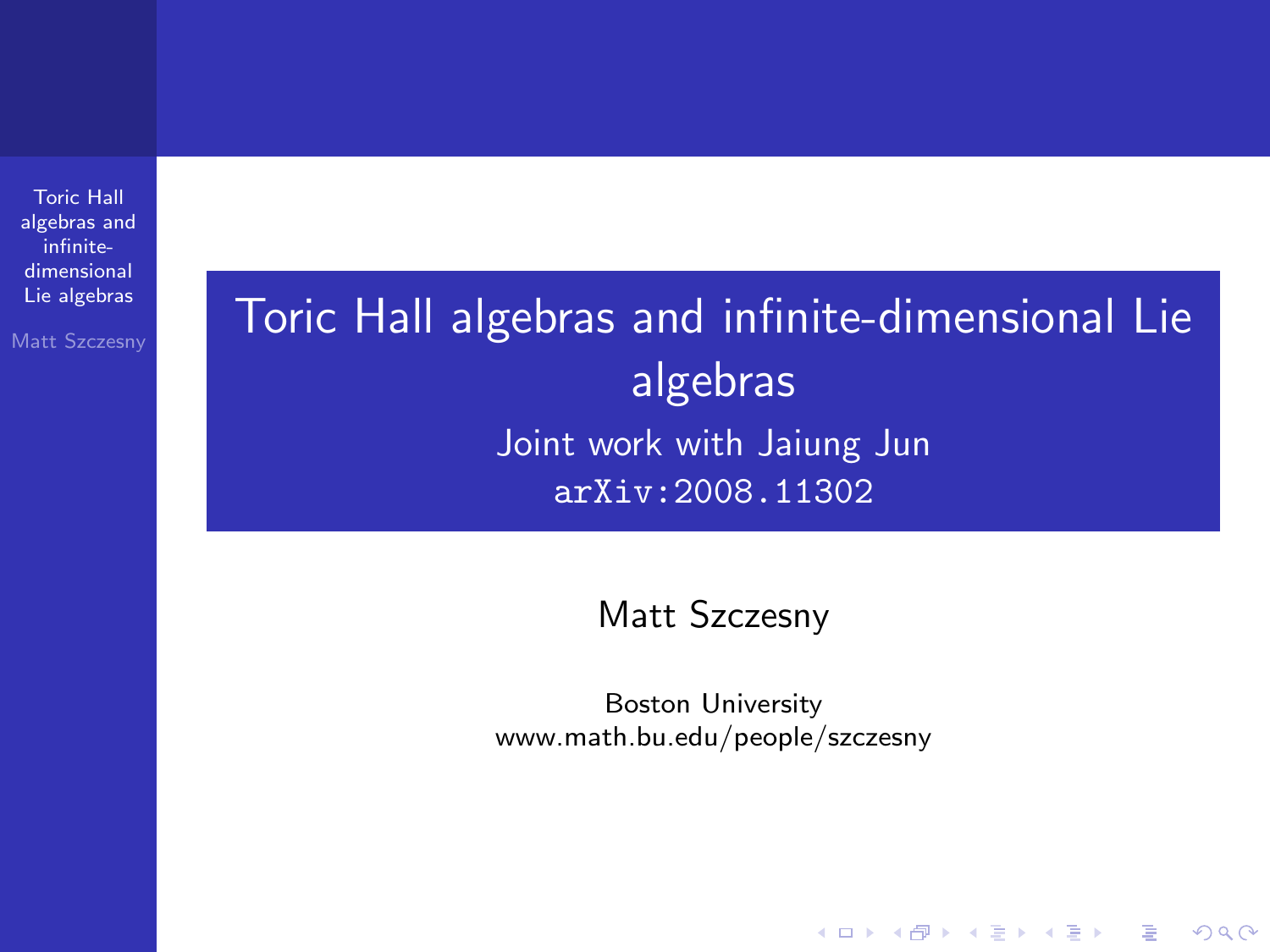## <span id="page-0-0"></span>**Matt Szczesny Toric Hall algebras and infinite-dimensional Lie** algebras Joint work with Jaiung Jun arXiv:2008.11302

Matt Szczesny

Boston University www.math.bu.edu/people/szczesny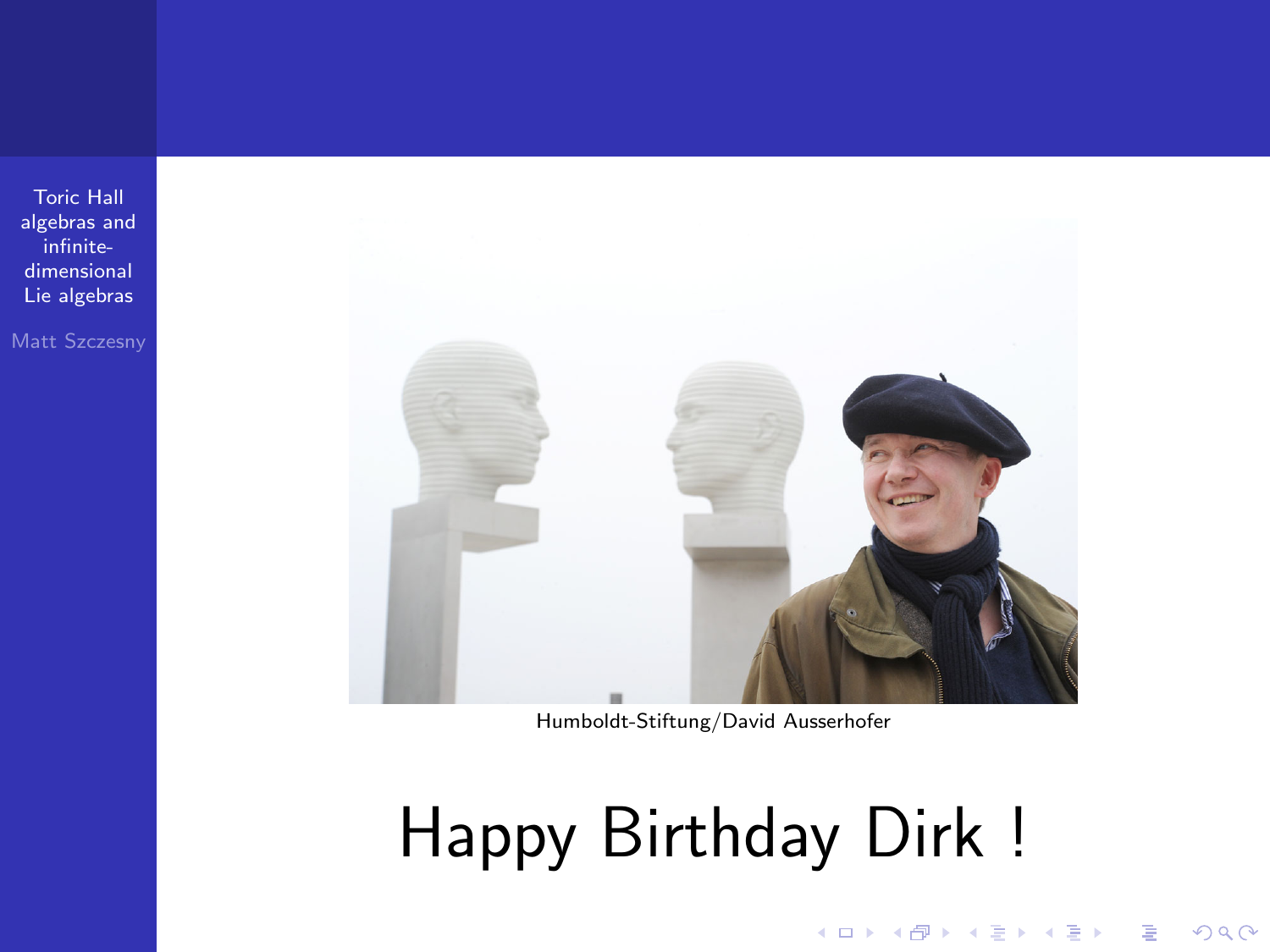Matt Szczesny



Humboldt-Stiftung/David Ausserhofer

# Happy Birthday Dirk !

**K ロ ▶ K @ ▶ K 할 X X 할 X → 할 X → 9 Q Q ^**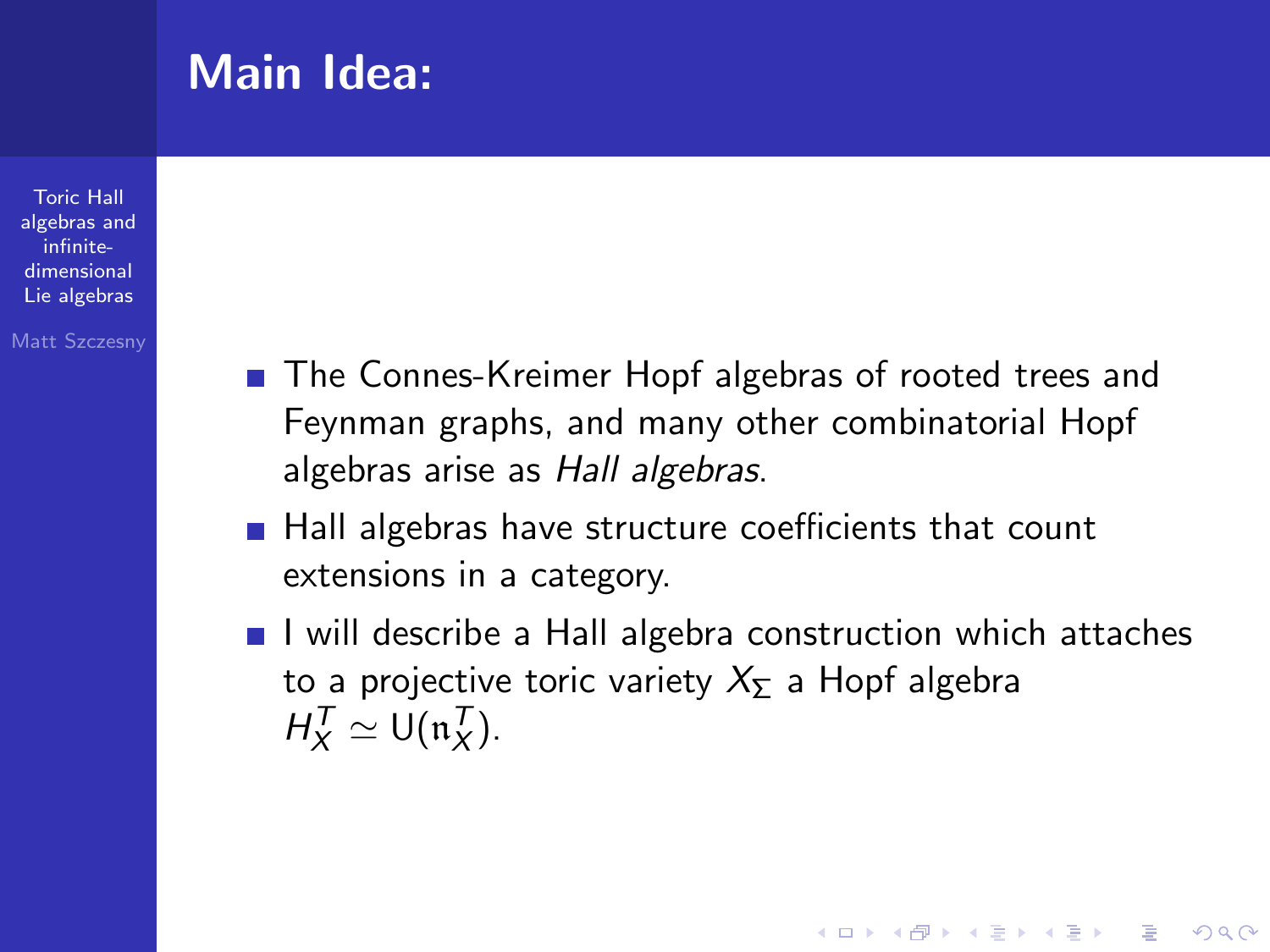### Main Idea:

Toric Hall [algebras and](#page-0-0) infinitedimensional Lie algebras

Matt Szczesny

- The Connes-Kreimer Hopf algebras of rooted trees and Feynman graphs, and many other combinatorial Hopf algebras arise as Hall algebras.
- Hall algebras have structure coefficients that count extensions in a category.
- $\blacksquare$  I will describe a Hall algebra construction which attaches to a projective toric variety  $X_{\Sigma}$  a Hopf algebra  $H_X^{\mathcal{T}} \simeq \mathsf{U}(\mathfrak{n}_X^{\mathcal{T}}).$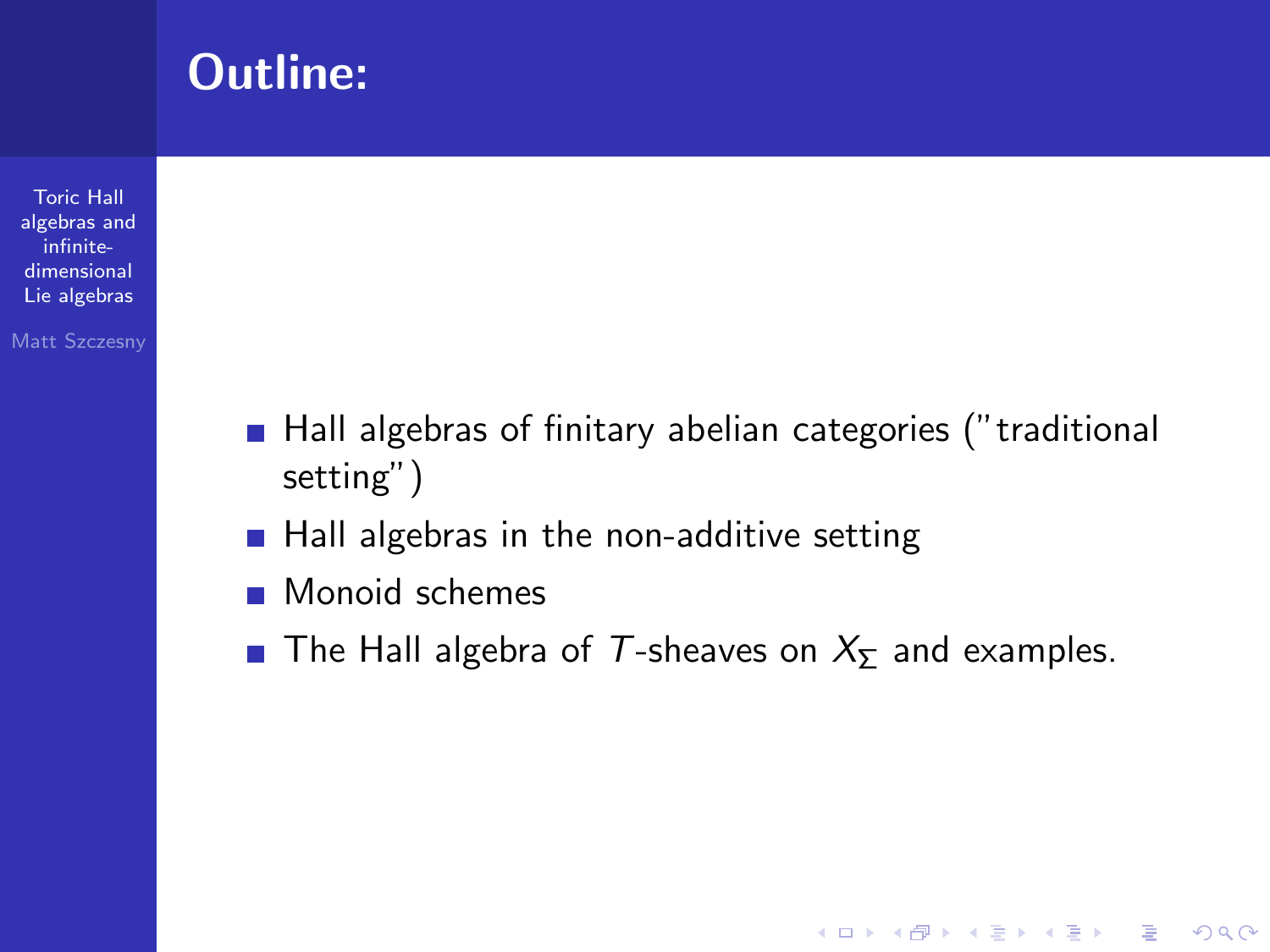### Outline:

Toric Hall [algebras and](#page-0-0) infinitedimensional Lie algebras

Matt Szczesny

- Hall algebras of finitary abelian categories ("traditional setting")
- $\blacksquare$  Hall algebras in the non-additive setting
- **Monoid schemes**
- The Hall algebra of T-sheaves on  $X_{\overline{Y}}$  and examples.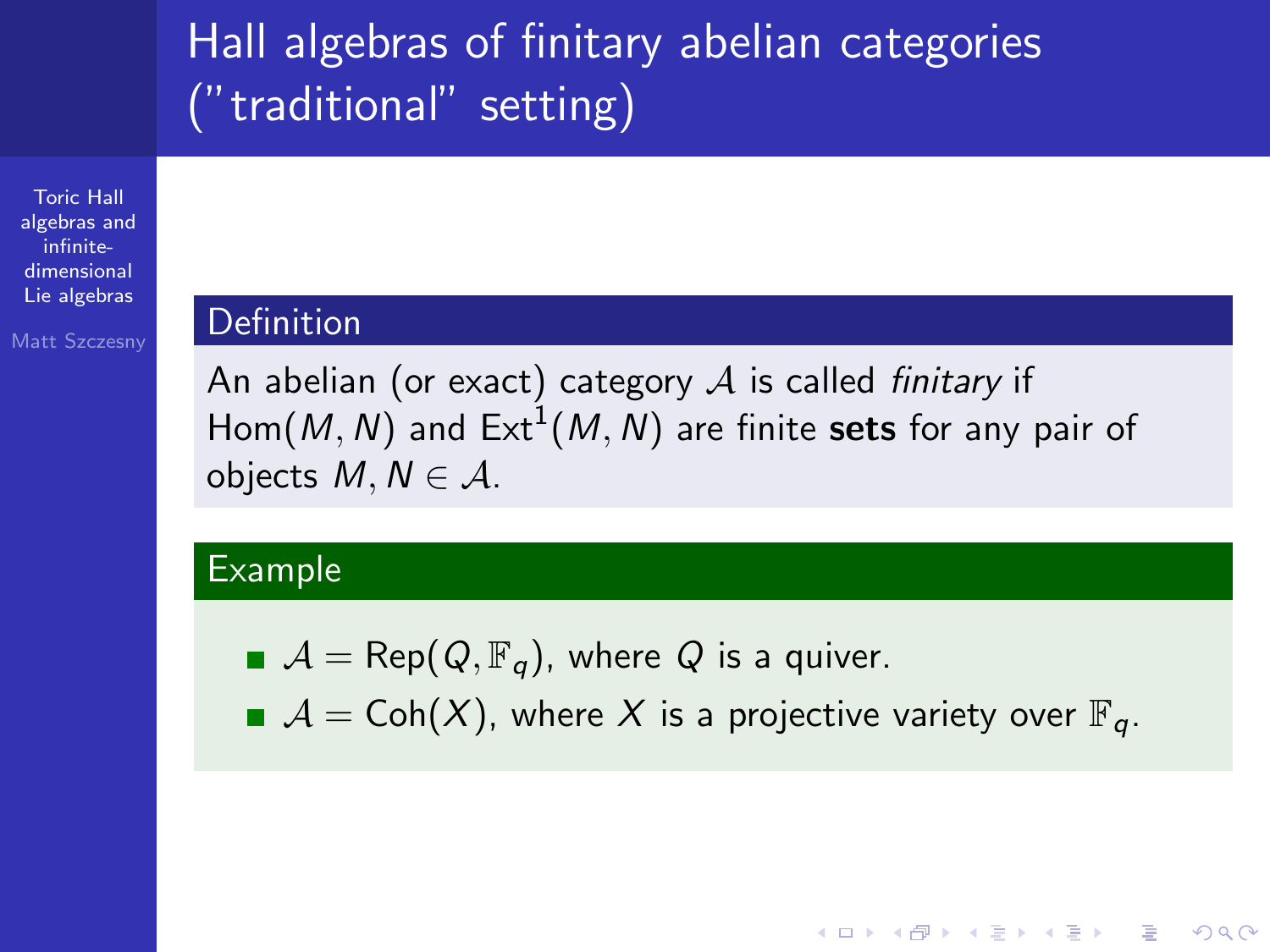# Hall algebras of finitary abelian categories ("traditional" setting)

Toric Hall [algebras and](#page-0-0) infinitedimensional Lie algebras

Matt Szczesny

### Definition

An abelian (or exact) category  $A$  is called *finitary* if  $\mathsf{Hom}(M,N)$  and  $\mathsf{Ext}^1(M,N)$  are finite  $\mathsf{sets}$  for any pair of objects  $M, N \in \mathcal{A}$ .

#### Example

- $\blacksquare$   $\mathcal{A} = \mathsf{Rep}(Q, \mathbb{F}_q)$ , where Q is a quiver.
- $A = \text{Coh}(X)$ , where X is a projective variety over  $\mathbb{F}_q$ .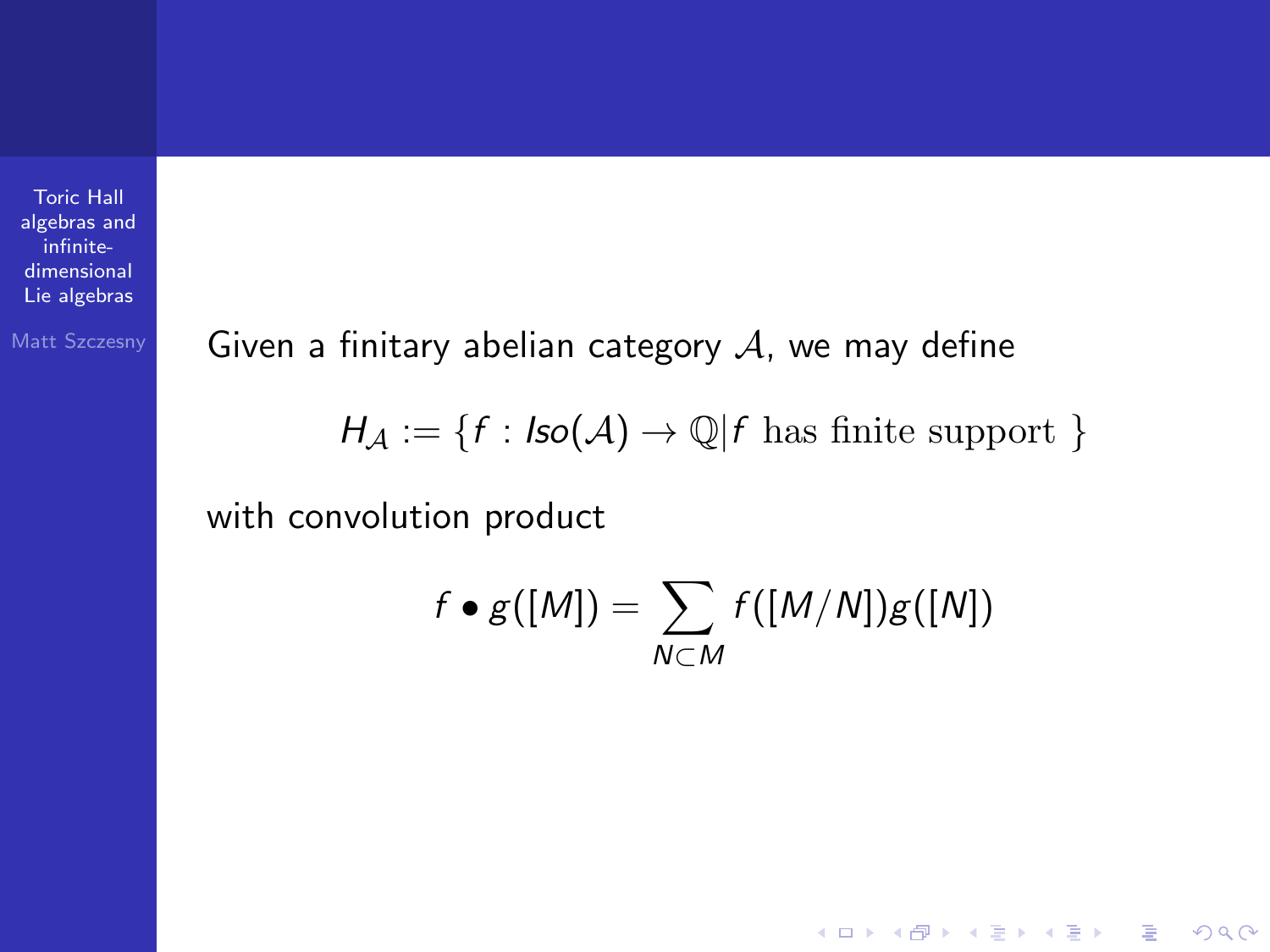Matt Szczesny Given a finitary abelian category  $A$ , we may define

 $H_A := \{f : \text{Iso}(A) \to \mathbb{Q} | f \text{ has finite support }\}$ 

with convolution product

$$
f \bullet g([M]) = \sum_{N \subset M} f([M/N])g([N])
$$

**KORK EX KEY CRACK**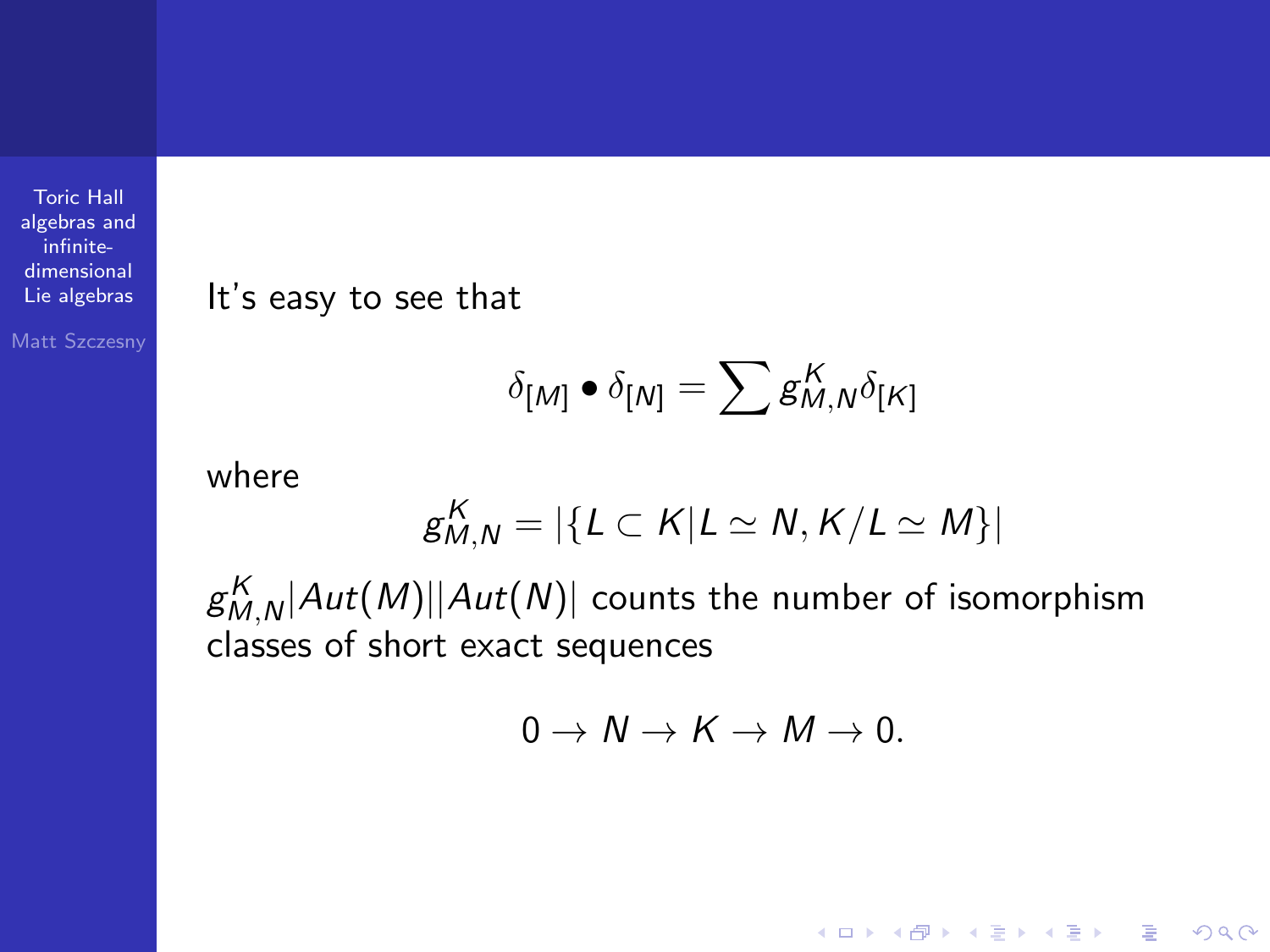Matt Szczesny

It's easy to see that

 $\delta_{[\mathcal{M}]} \bullet \delta_{[\mathcal{N}]} = \sum g^{\mathcal{K}}_{\mathcal{M},\mathcal{N}} \delta_{[\mathcal{K}]}$ 

where

$$
g_{M,N}^K=|\{L\subset K|L\simeq N, K/L\simeq M\}|
$$

 $g^K_{M,N} |Aut(M)| |Aut(N)|$  counts the number of isomorphism classes of short exact sequences

$$
0 \to N \to K \to M \to 0.
$$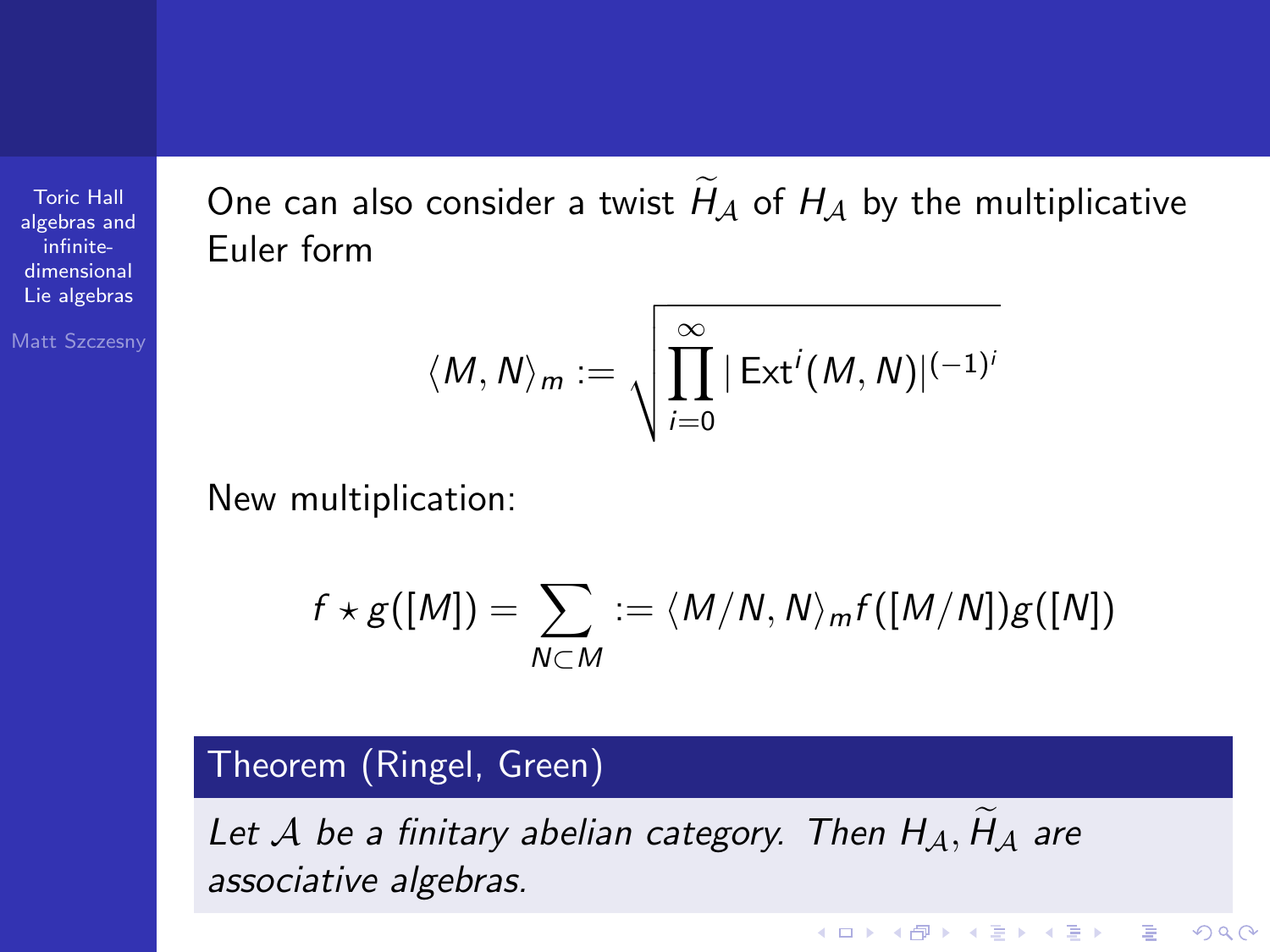Matt Szczesny

One can also consider a twist  $H_A$  of  $H_A$  by the multiplicative Euler form

$$
\langle M,N\rangle_m:=\sqrt{\prod_{i=0}^\infty|\operatorname{Ext}^i(M,N)|^{(-1)^i}}
$$

New multiplication:

$$
f \star g([M]) = \sum_{N \subset M} := \langle M/N, N \rangle_m f([M/N]) g([N])
$$

 $\mathbf{E} = \mathbf{A} \oplus \mathbf{A} + \mathbf{A} \oplus \mathbf{A} + \mathbf{A} \oplus \mathbf{A} + \mathbf{A} \oplus \mathbf{A} + \mathbf{A} \oplus \mathbf{A} + \mathbf{A} \oplus \mathbf{A} + \mathbf{A} \oplus \mathbf{A} + \mathbf{A} \oplus \mathbf{A} + \mathbf{A} \oplus \mathbf{A} + \mathbf{A} \oplus \mathbf{A} + \mathbf{A} \oplus \mathbf{A} + \mathbf{A} \oplus \mathbf{A} + \mathbf{A} \oplus \mathbf{A} + \mathbf{A$ 

 $2990$ 

### Theorem (Ringel, Green)

Let A be a finitary abelian category. Then  $H_A$ ,  $H_A$  are associative algebras.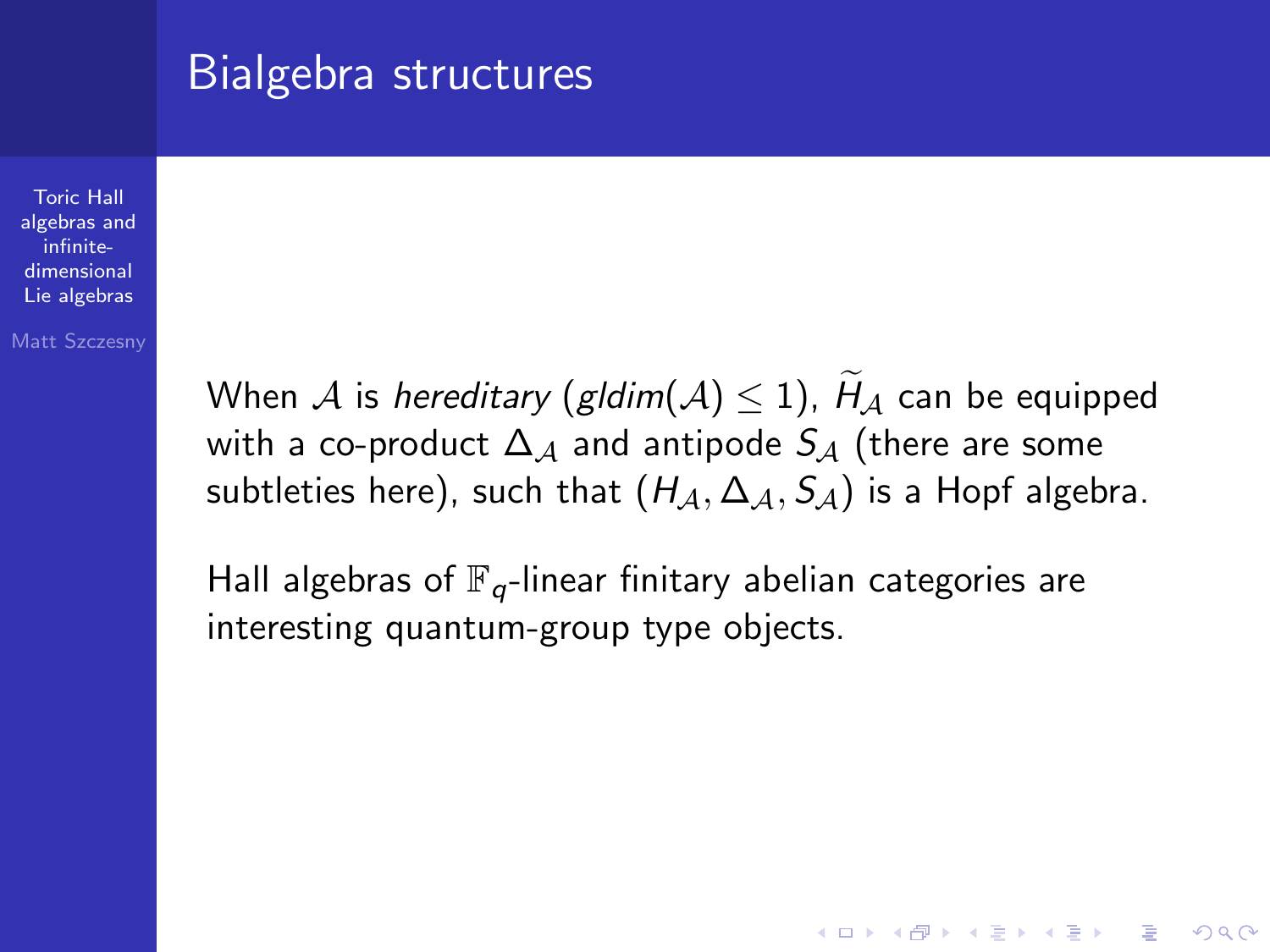### Bialgebra structures

Toric Hall [algebras and](#page-0-0) infinitedimensional Lie algebras

Matt Szczesny

When A is hereditary (gldim( $A$ )  $\leq$  1),  $H_A$  can be equipped with a co-product  $\Delta_A$  and antipode  $S_A$  (there are some subtleties here), such that  $(H_A, \Delta_A, S_A)$  is a Hopf algebra.

Hall algebras of  $\mathbb{F}_q$ -linear finitary abelian categories are interesting quantum-group type objects.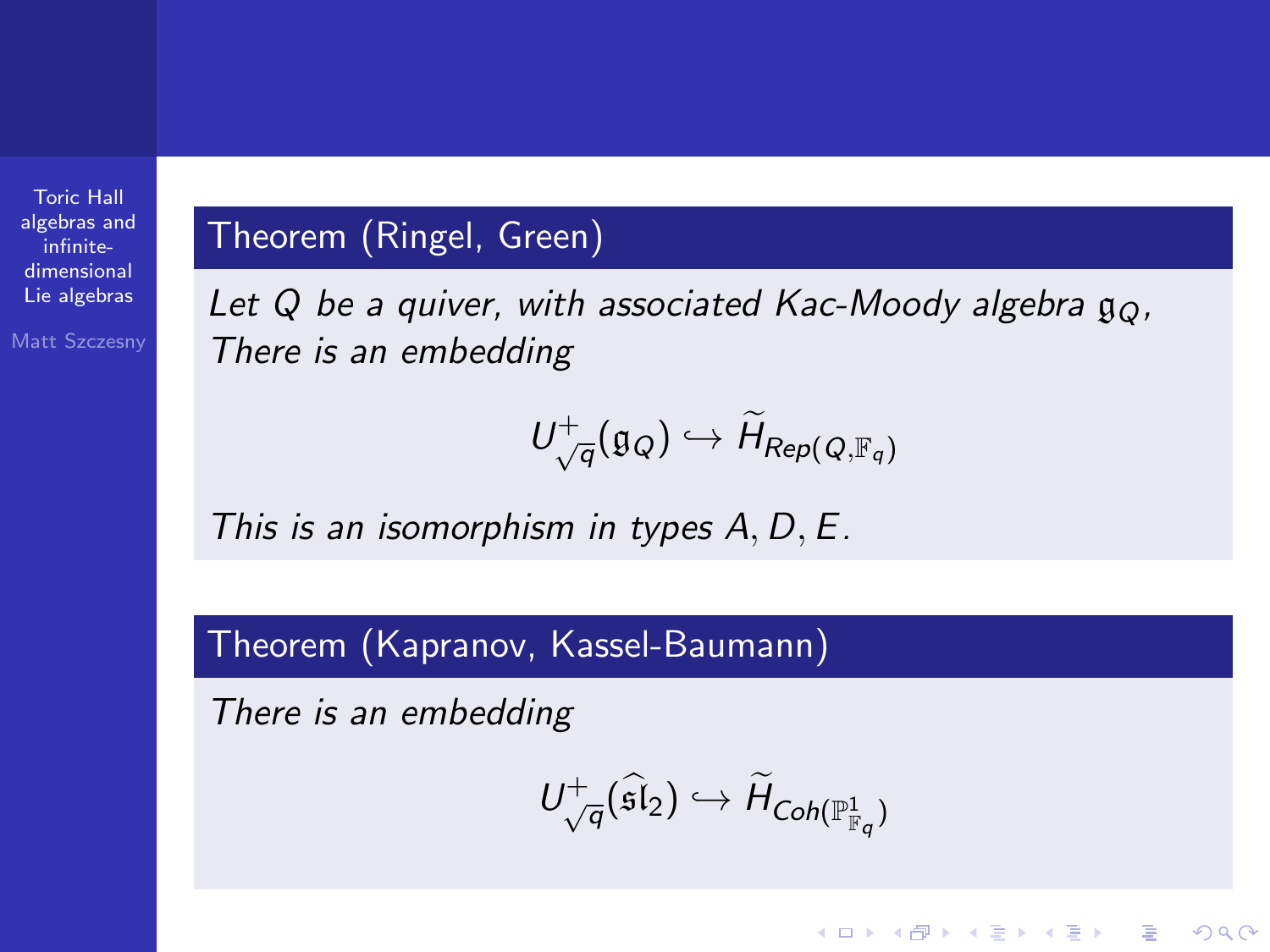Matt Szczesny

#### Theorem (Ringel, Green)

Let Q be a quiver, with associated Kac-Moody algebra  $\mathfrak{g}_{\mathcal{Q}}$ , There is an embedding

$$
U^+_{\sqrt{q}}(\mathfrak{g}_{Q})\hookrightarrow \widetilde{H}_{Rep(Q,\mathbb{F}_{q})}
$$

This is an isomorphism in types A, D, E.

### Theorem (Kapranov, Kassel-Baumann)

There is an embedding

$$
U_{\sqrt{q}}^{+}(\widehat{\mathfrak{sl}}_{2})\hookrightarrow \widetilde{H}_{\mathit{Coh}(\mathbb{P}^{1}_{\mathbb{F}_{q}})}
$$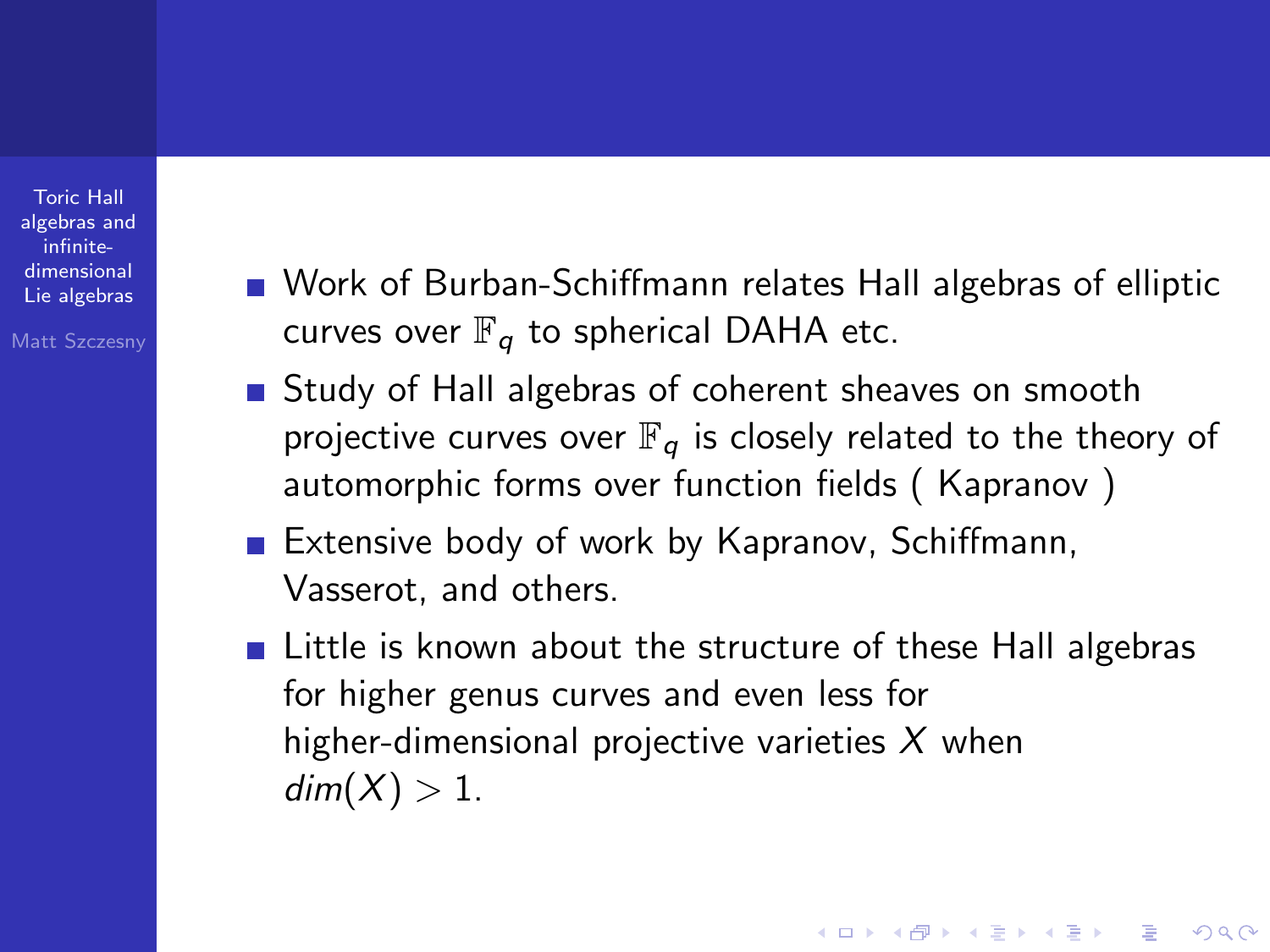Matt Szczesny

- Work of Burban-Schiffmann relates Hall algebras of elliptic curves over  $\mathbb{F}_q$  to spherical DAHA etc.
- **Study of Hall algebras of coherent sheaves on smooth** projective curves over  $\mathbb{F}_q$  is closely related to the theory of automorphic forms over function fields ( Kapranov )
- Extensive body of work by Kapranov, Schiffmann, Vasserot, and others.
- **Example 1** Little is known about the structure of these Hall algebras for higher genus curves and even less for higher-dimensional projective varieties  $X$  when  $dim(X) > 1$ .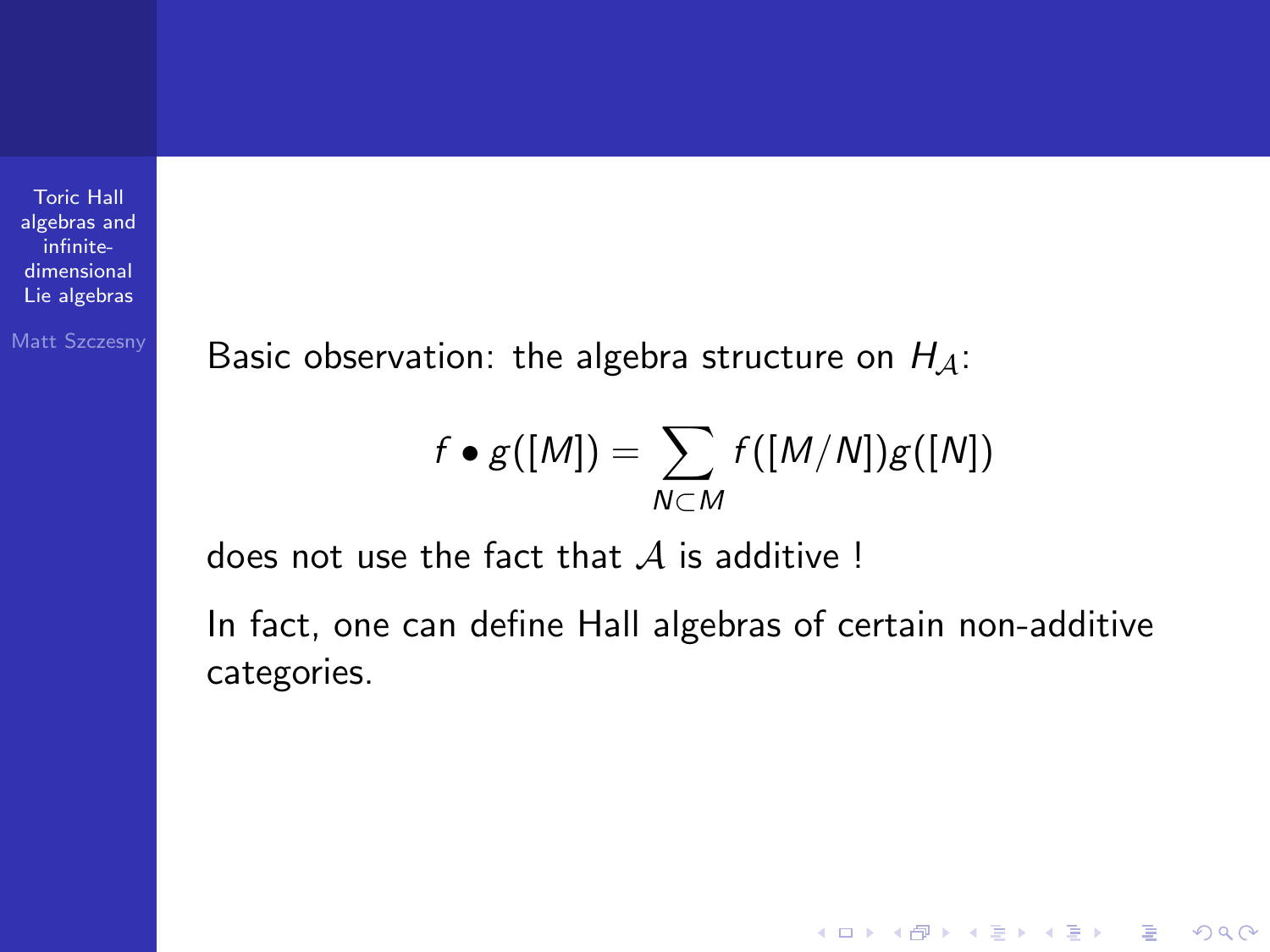Matt Szczesny Basic observation: the algebra structure on  $H_A$ :

$$
f\bullet g([M])=\sum_{N\subset M}f([M/N])g([N])
$$

does not use the fact that  $A$  is additive !

In fact, one can define Hall algebras of certain non-additive categories.

**KORK STRATER STRAKES**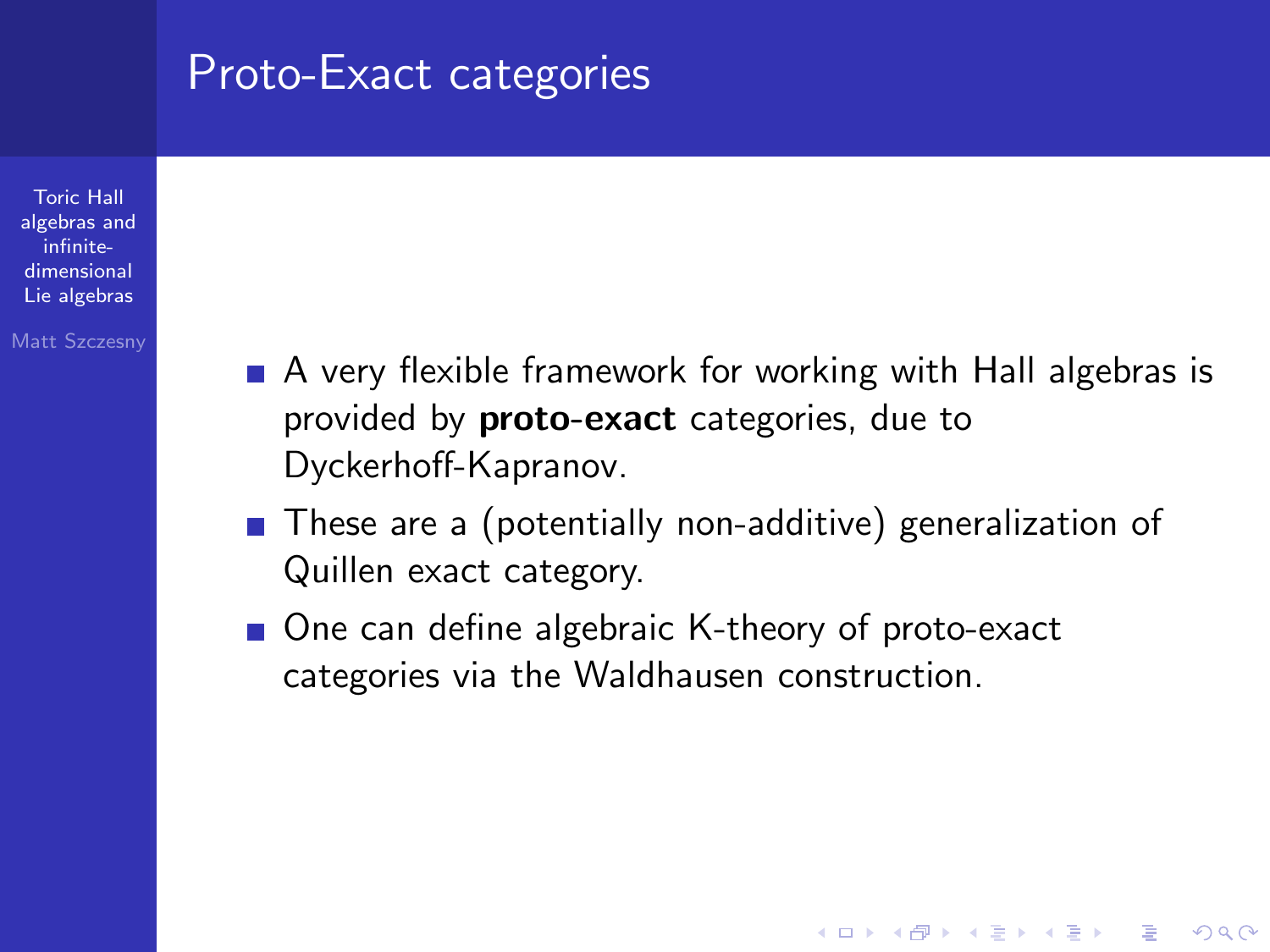### Proto-Exact categories

Toric Hall [algebras and](#page-0-0) infinitedimensional Lie algebras

Matt Szczesny

- A very flexible framework for working with Hall algebras is provided by **proto-exact** categories, due to Dyckerhoff-Kapranov.
- These are a (potentially non-additive) generalization of Quillen exact category.

**KORK ERKER ADE YOUR** 

■ One can define algebraic K-theory of proto-exact categories via the Waldhausen construction.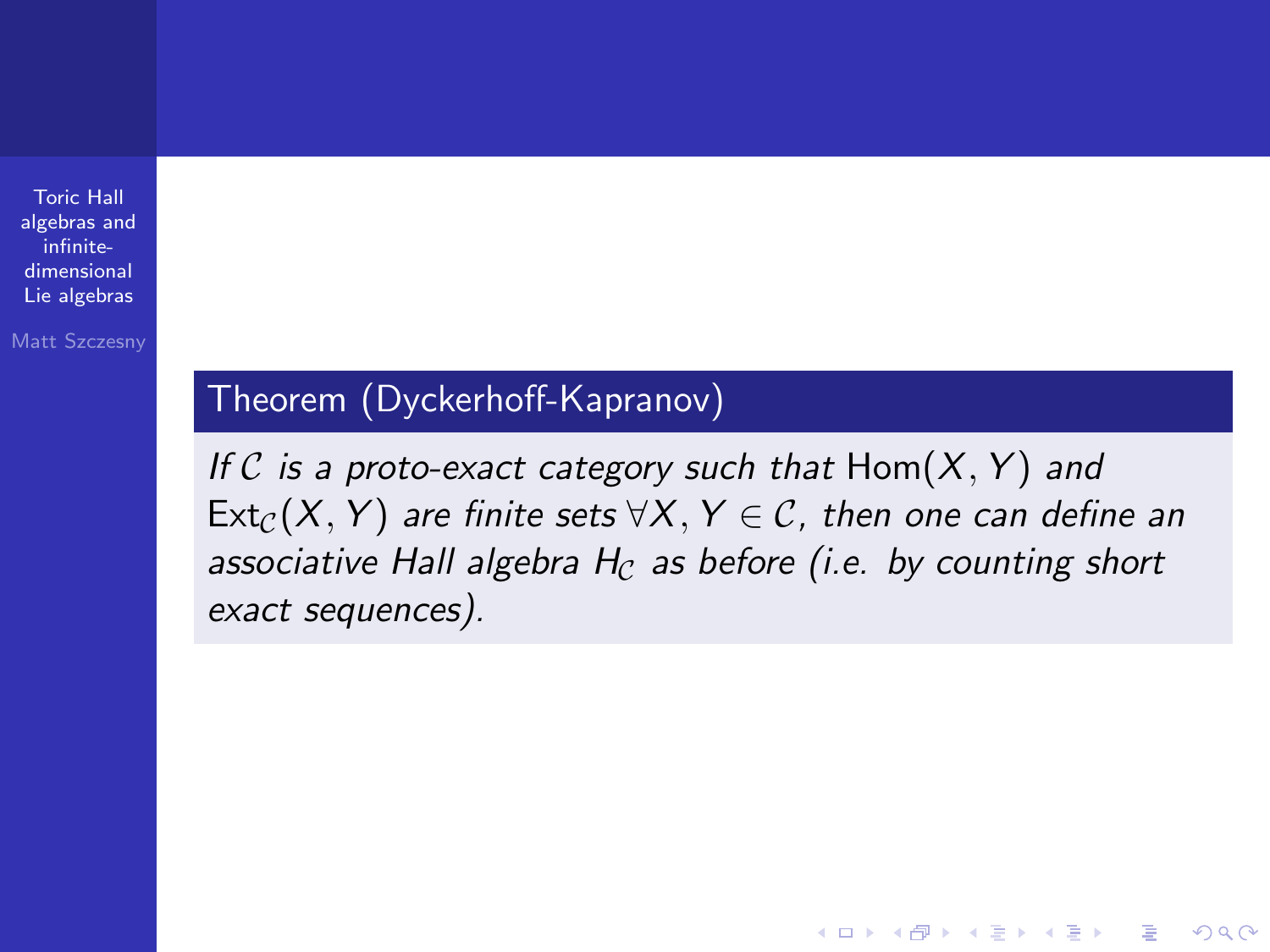Matt Szczesny

### Theorem (Dyckerhoff-Kapranov)

If C is a proto-exact category such that  $Hom(X, Y)$  and  $Ext_{\mathcal{C}}(X, Y)$  are finite sets  $\forall X, Y \in \mathcal{C}$ , then one can define an associative Hall algebra  $H_C$  as before (i.e. by counting short exact sequences).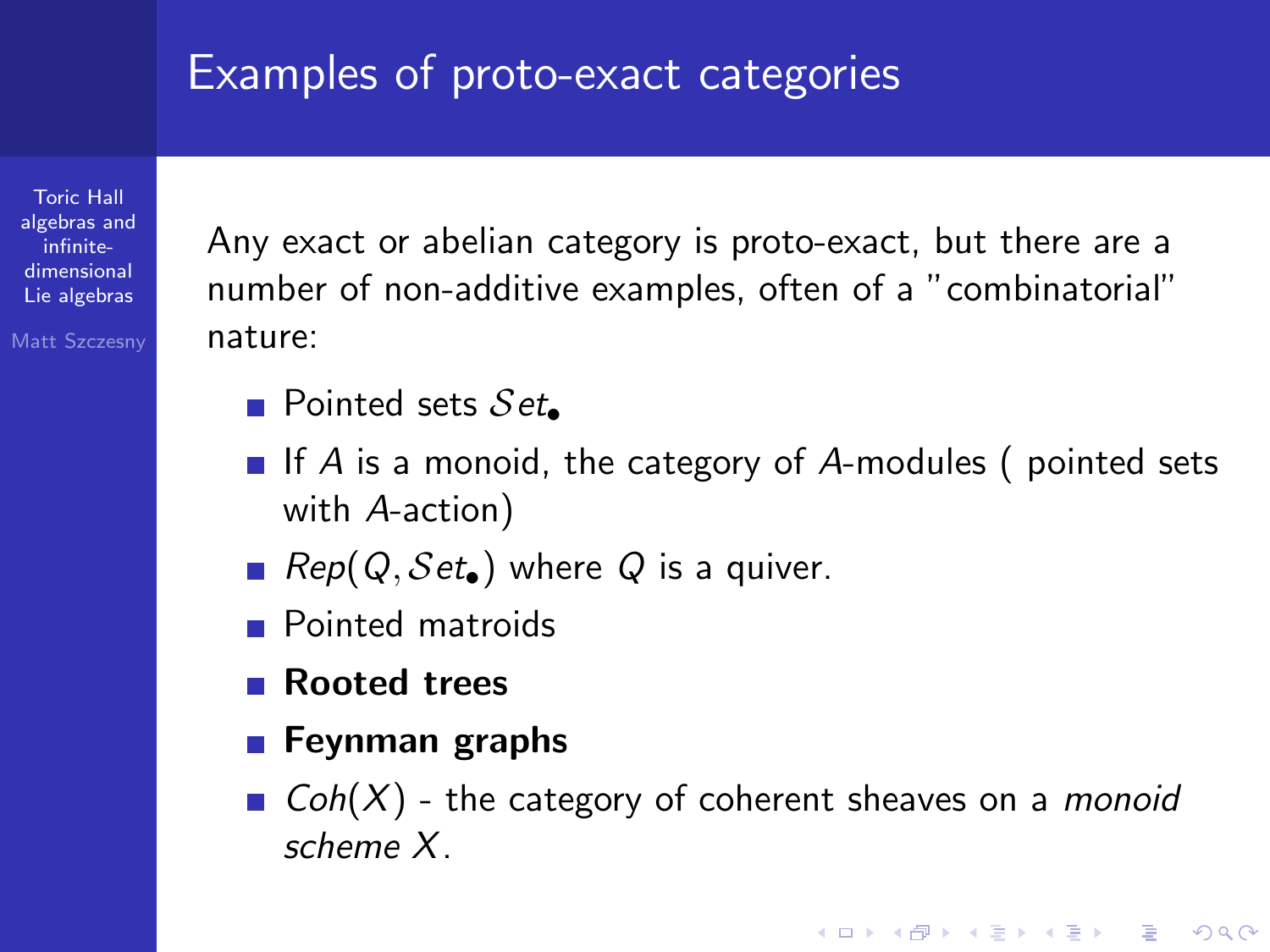### Examples of proto-exact categories

Toric Hall [algebras and](#page-0-0) infinitedimensional Lie algebras

Matt Szczesny

Any exact or abelian category is proto-exact, but there are a number of non-additive examples, often of a "combinatorial" nature:

- **Pointed sets Set.**
- If A is a monoid, the category of A-modules ( pointed sets with A-action)
- Rep( $Q, Set_{\bullet}$ ) where Q is a quiver.
- **Pointed matroids**
- **Rooted trees**
- **Feynman graphs**
- $\Box$  Coh(X) the category of coherent sheaves on a monoid scheme X.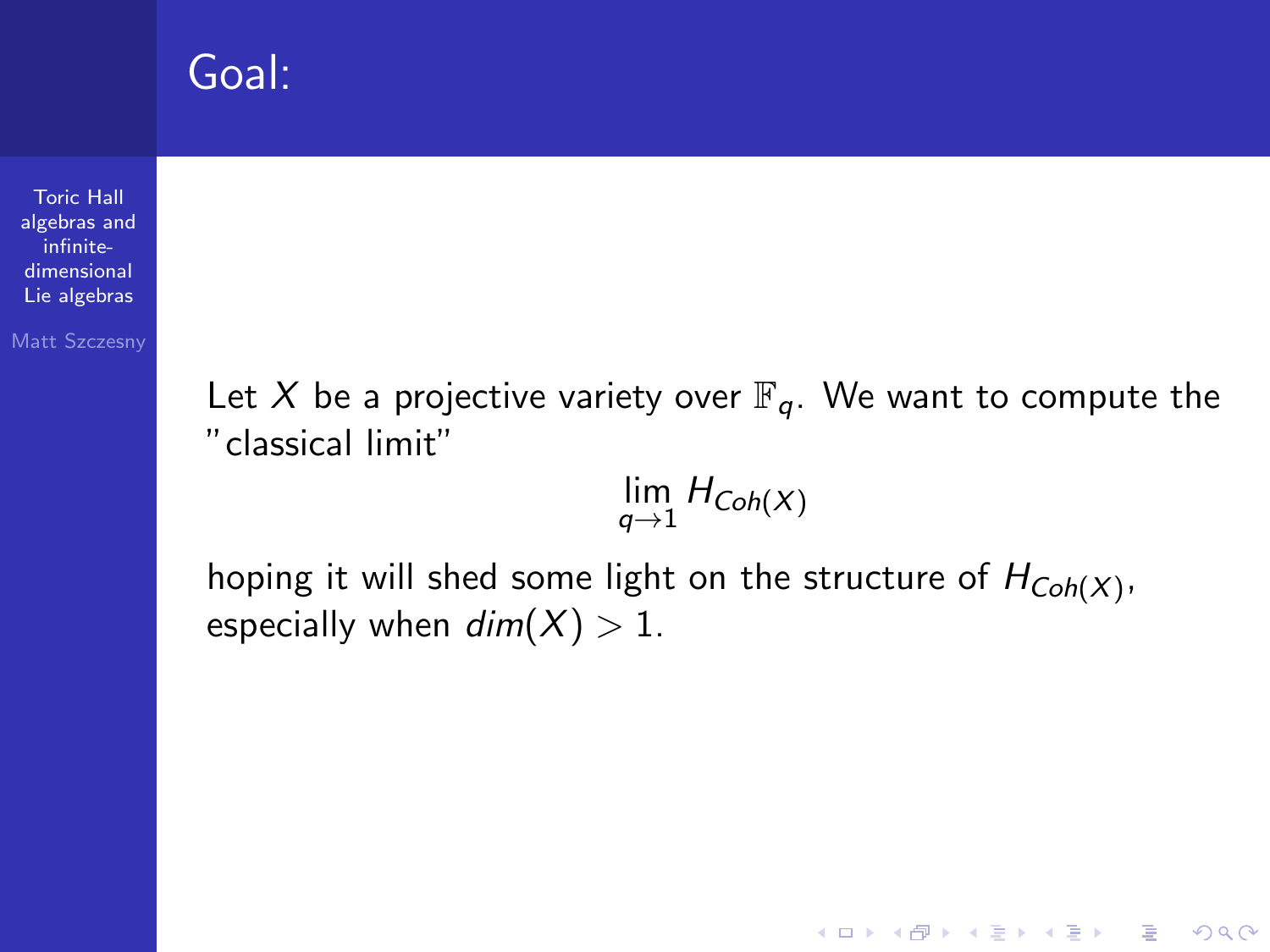### Goal:

Toric Hall [algebras and](#page-0-0) infinitedimensional Lie algebras

Matt Szczesny

Let X be a projective variety over  $\mathbb{F}_q$ . We want to compute the "classical limit"

 $\lim_{q\to 1} H_{Coh(X)}$ 

**KORK ERKER ADE YOUR** 

hoping it will shed some light on the structure of  $H_{\mathcal{C}oh}(X)$ , especially when  $dim(X) > 1$ .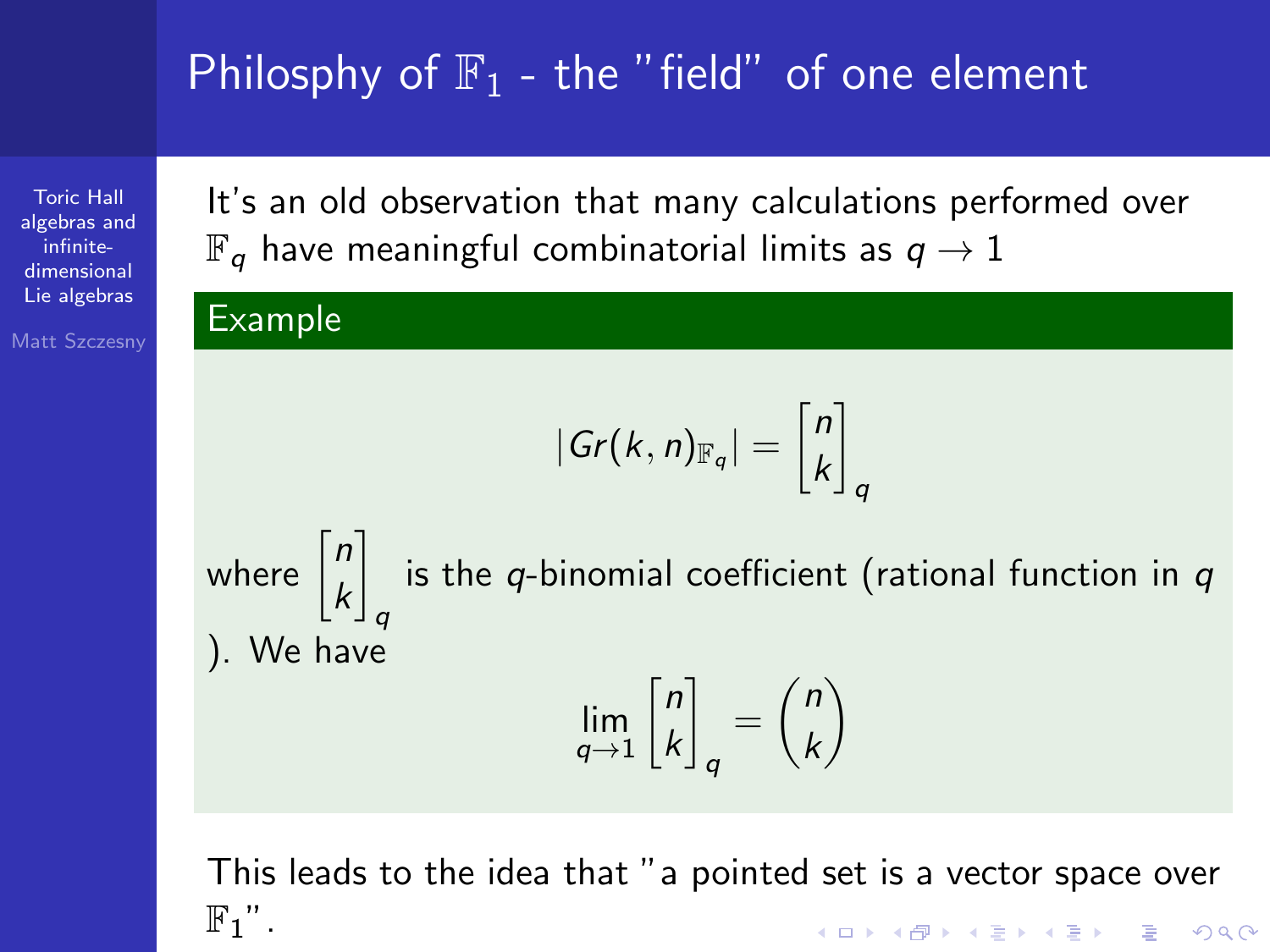# Philosphy of  $\mathbb{F}_1$  - the "field" of one element

Toric Hall [algebras and](#page-0-0) infinitedimensional Lie algebras

Matt Szczesny

It's an old observation that many calculations performed over  $\mathbb{F}_q$  have meaningful combinatorial limits as  $q \to 1$ 

#### Example

$$
|Gr(k,n)_{\mathbb{F}_q}|=\begin{bmatrix}n\\k\end{bmatrix}
$$

q

where  $\begin{bmatrix} n \\ n \end{bmatrix}$ k 1 q is the  $q$ -binomial coefficient (rational function in  $q$ ). We have  $\lim_{q\to 1}$  $\lceil n$ k 1  $=\binom{n}{k}$ k  $\setminus$ 

This leads to the idea that "a pointed set is a vector space over  $\mathbb{F}_1$ ". **KORKA SERKER ORA** 

q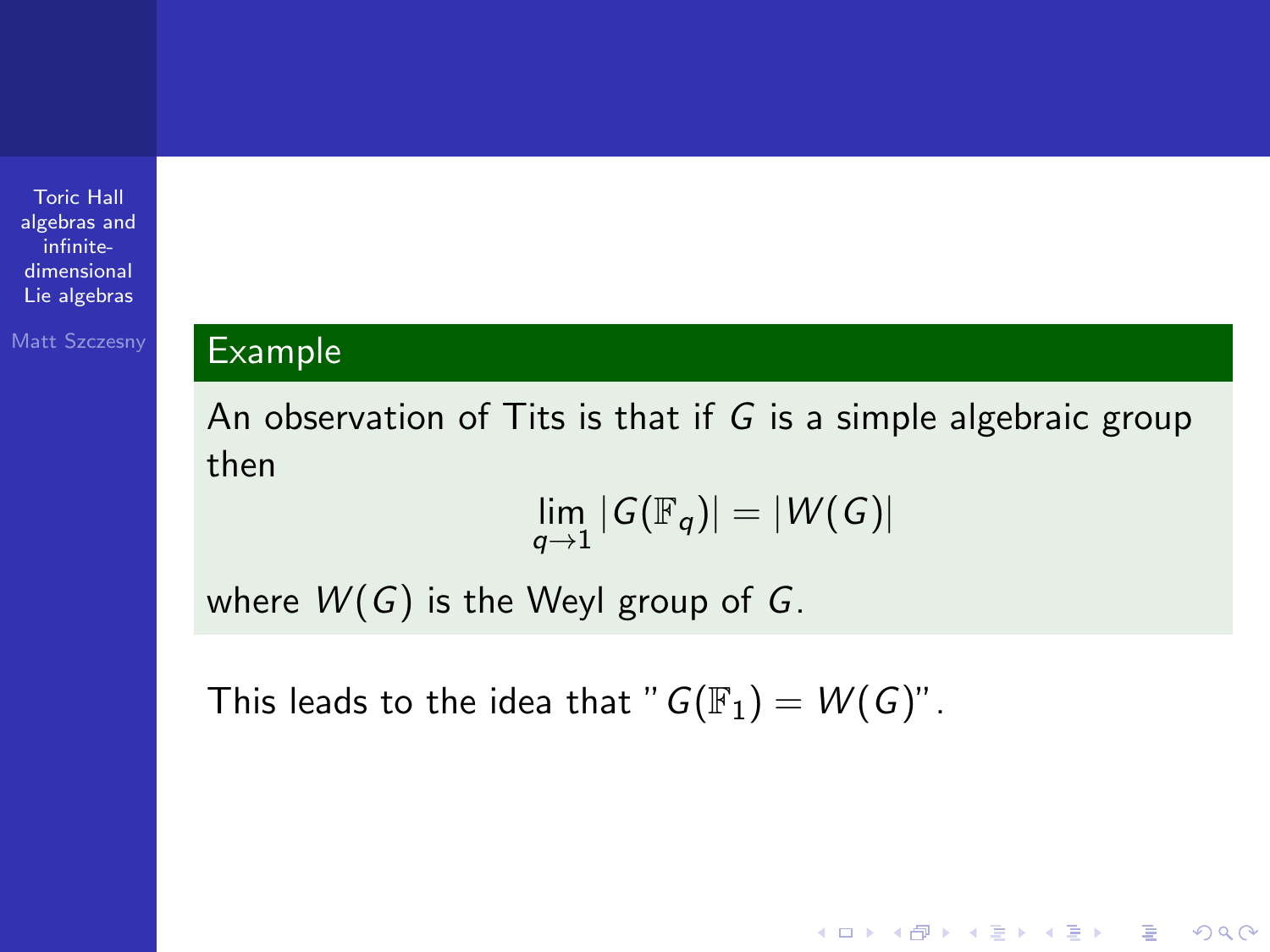### Matt Szczesny **Example**

An observation of Tits is that if G is a simple algebraic group then

$$
\lim_{q\to 1}|G(\mathbb{F}_q)|=|W(G)|
$$

**KORK ERKER ADE YOUR** 

where  $W(G)$  is the Weyl group of G.

This leads to the idea that "  $G(\mathbb{F}_1) = W(G)$ ".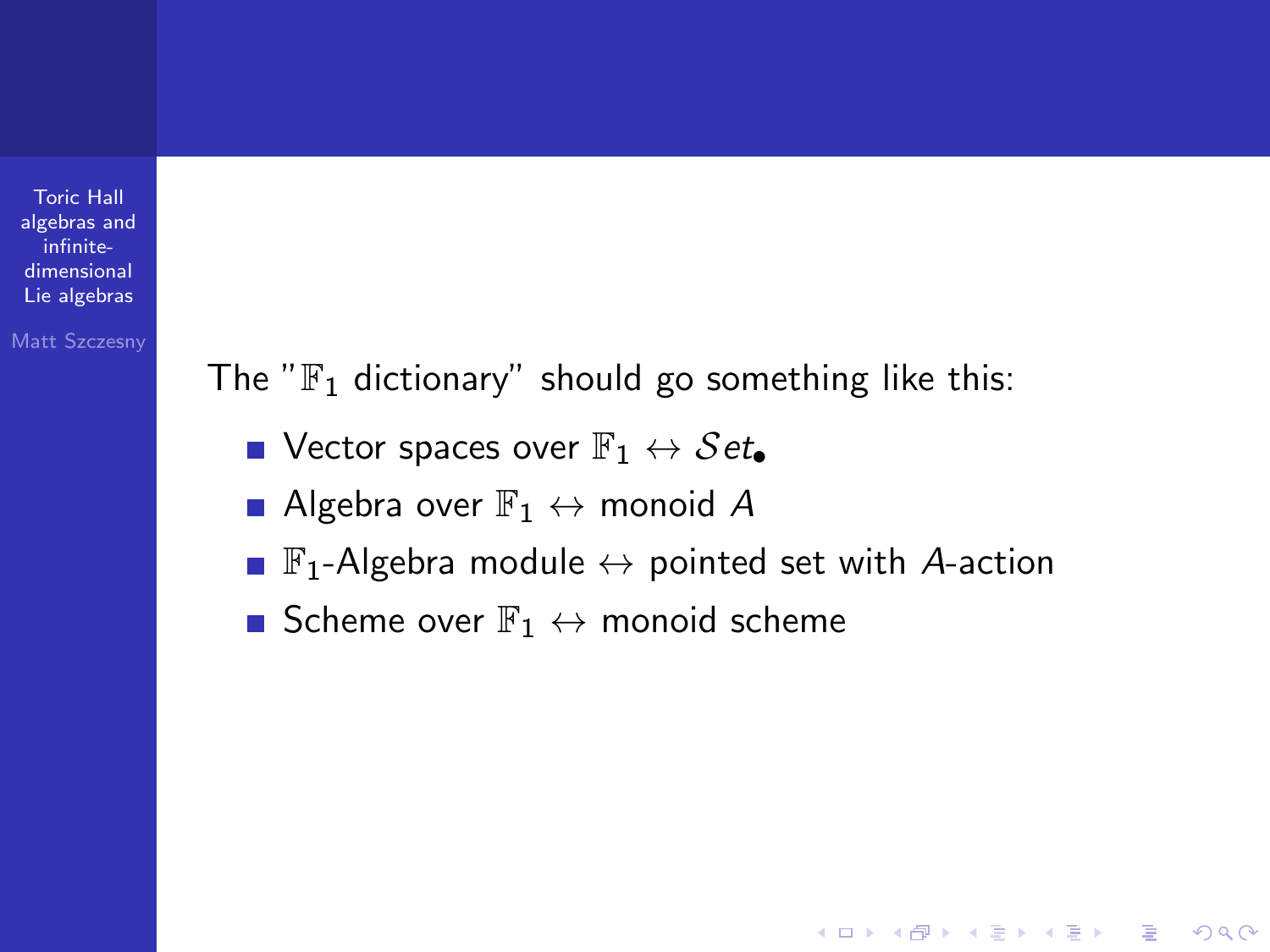Matt Szczesny

The " $\mathbb{F}_1$  dictionary" should go something like this:

- Vector spaces over  $\mathbb{F}_1 \leftrightarrow \mathcal{S}et_{\bullet}$
- Algebra over  $\mathbb{F}_1 \leftrightarrow$  monoid A
- **F**<sub>1</sub>-Algebra module  $\leftrightarrow$  pointed set with A-action

**KORK ERKER ADE YOUR** 

Scheme over  $\mathbb{F}_1 \leftrightarrow$  monoid scheme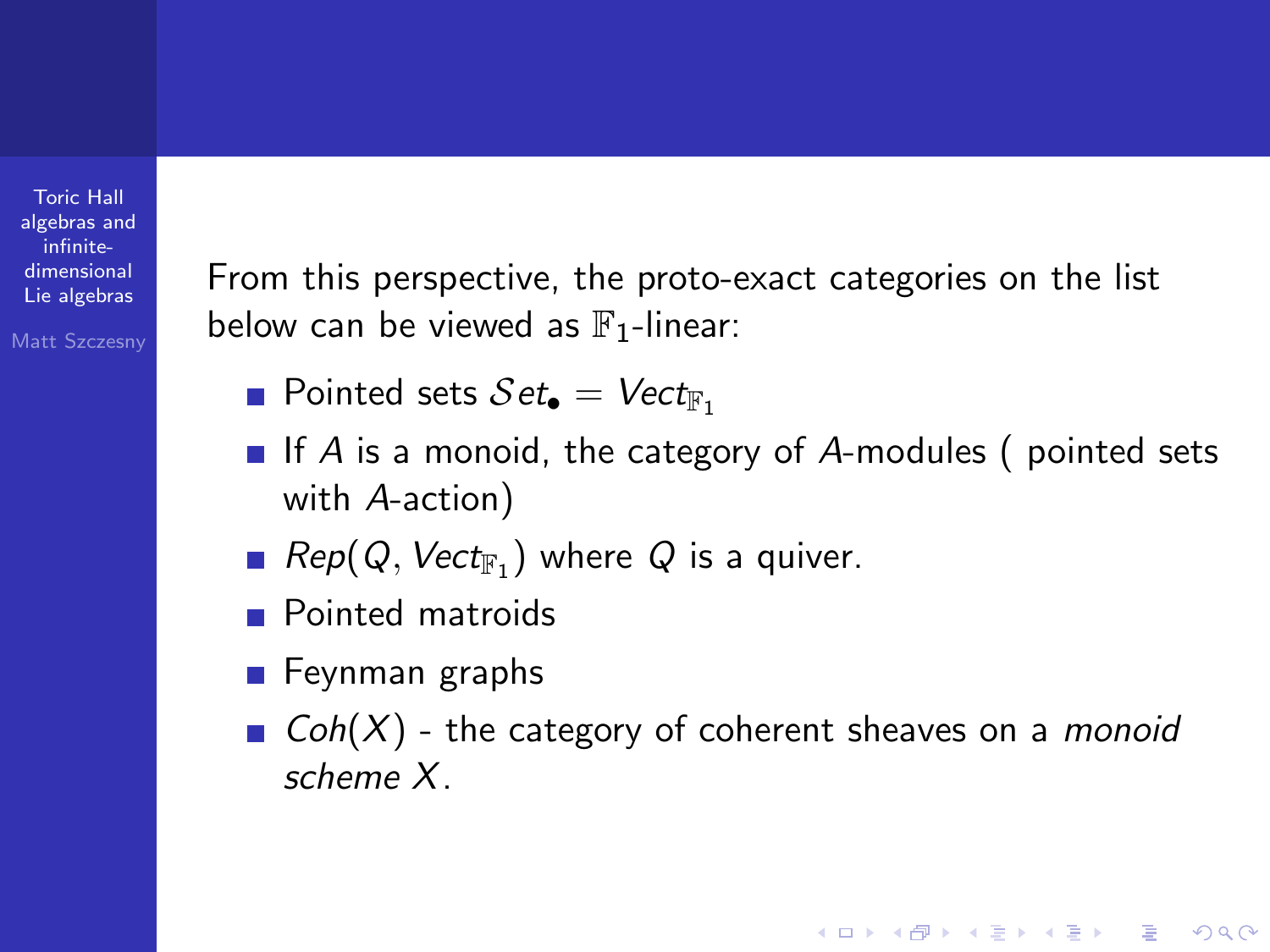Matt Szczesny

From this perspective, the proto-exact categories on the list below can be viewed as  $\mathbb{F}_1$ -linear:

- **Pointed sets**  $Set_{\bullet} = Vect_{\mathbb{F}_1}$
- If A is a monoid, the category of A-modules ( pointed sets with A-action)
- $Rep(Q, \textit{Vect}_{\mathbb{F}_1})$  where  $Q$  is a quiver.
- **Pointed matroids**
- **Feynman graphs**
- Coh(X) the category of coherent sheaves on a *monoid* scheme X.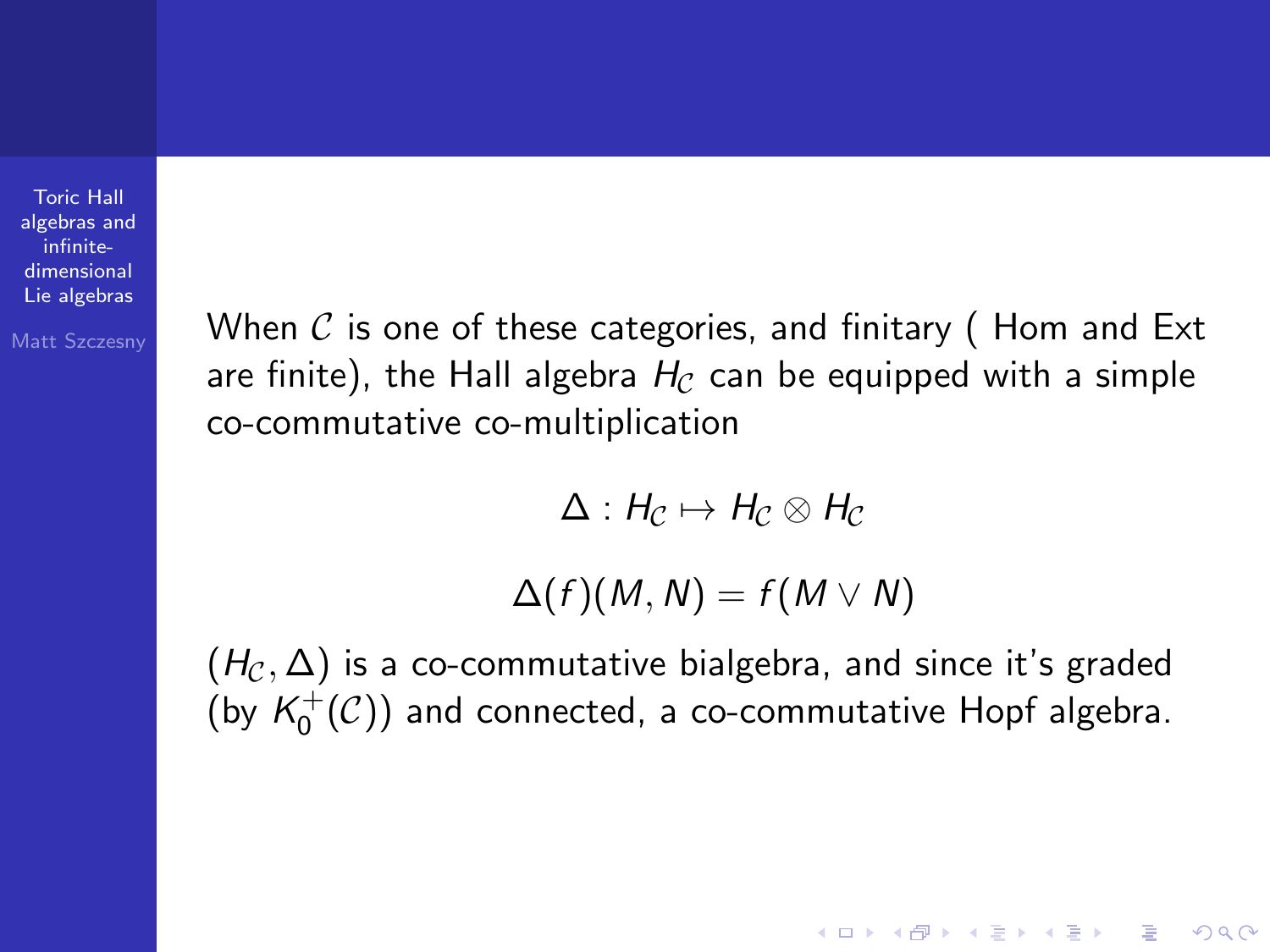$M_{\text{Matt Szczesinv}}$  When C is one of these categories, and finitary (Hom and Ext are finite), the Hall algebra  $H_C$  can be equipped with a simple co-commutative co-multiplication

$$
\Delta: H_{\mathcal{C}} \mapsto H_{\mathcal{C}} \otimes H_{\mathcal{C}}
$$

$$
\Delta(f)(M,N)=f(M\vee N)
$$

**KORK ERKER ADE YOUR** 

 $(H_{\mathcal{C}}, \Delta)$  is a co-commutative bialgebra, and since it's graded (by  $K_0^+(\mathcal{C})$ ) and connected, a co-commutative Hopf algebra.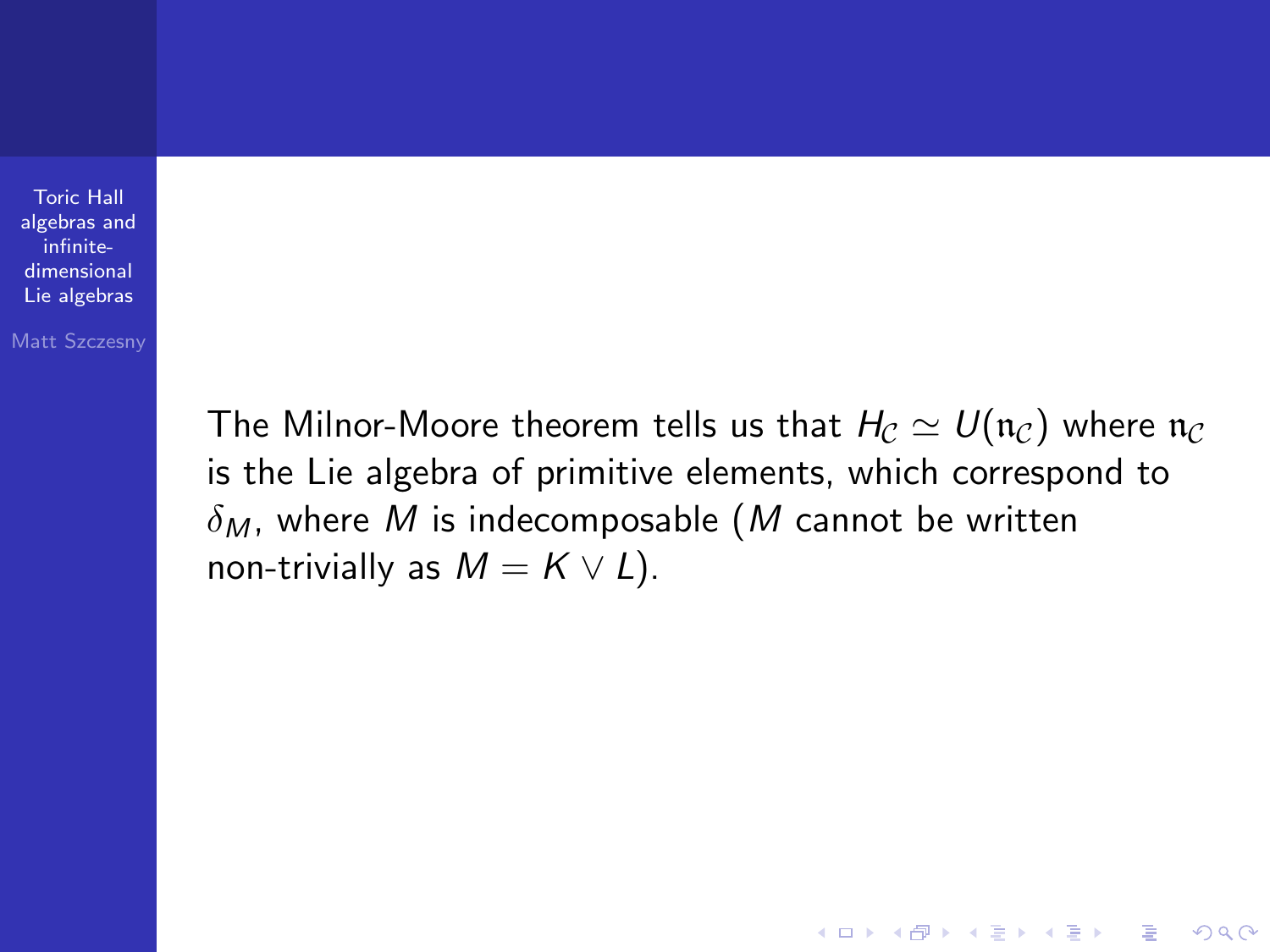Matt Szczesny

The Milnor-Moore theorem tells us that  $H_{\mathcal{C}} \simeq U(\mathfrak{n}_{\mathcal{C}})$  where  $\mathfrak{n}_{\mathcal{C}}$ is the Lie algebra of primitive elements, which correspond to  $\delta_M$ , where M is indecomposable (M cannot be written non-trivially as  $M = K \vee L$ ).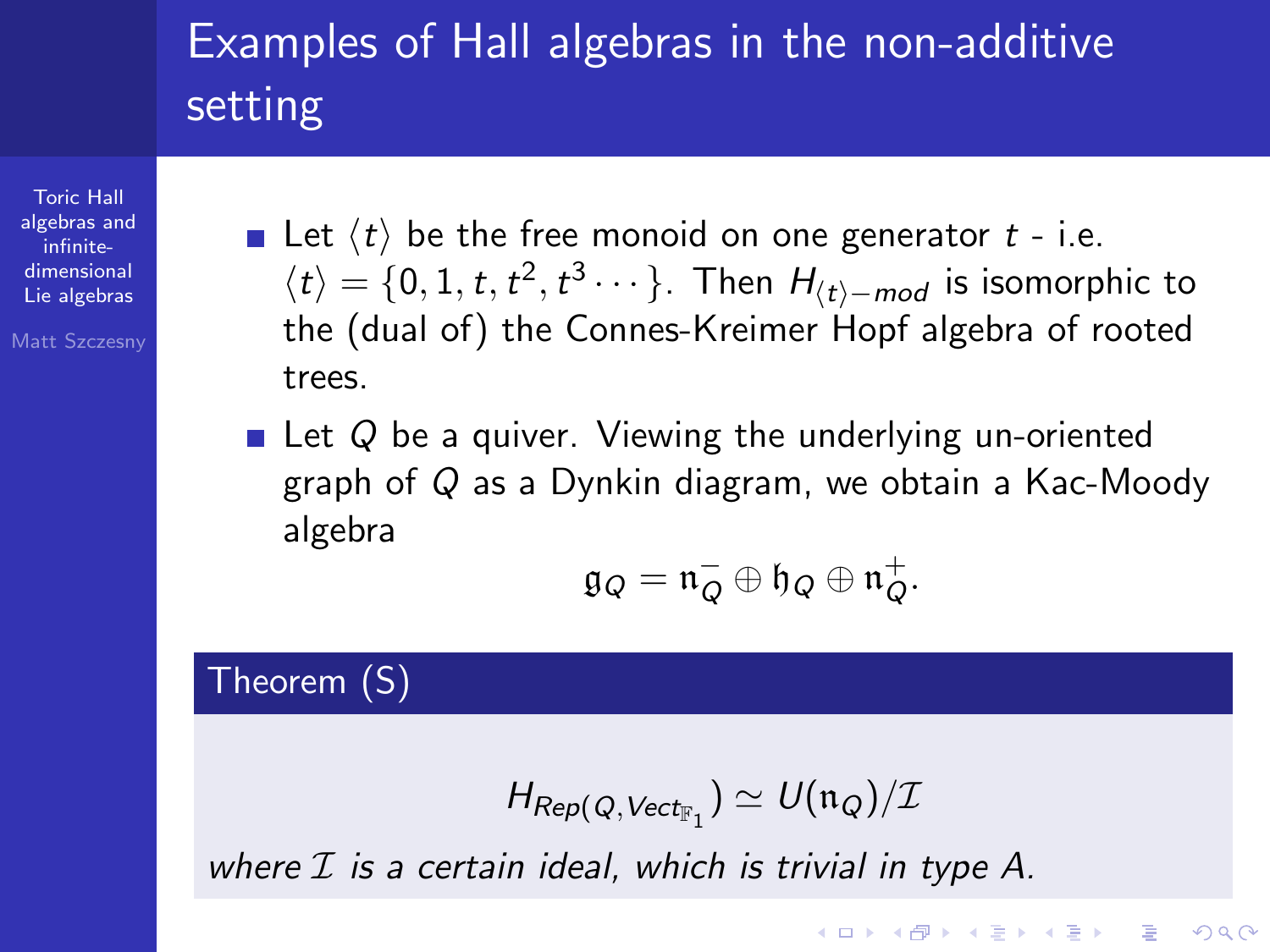# Examples of Hall algebras in the non-additive setting

Toric Hall [algebras and](#page-0-0) infinitedimensional Lie algebras

Matt Szczesny

- Let  $\langle t \rangle$  be the free monoid on one generator  $t$  i.e.  $\langle t \rangle = \{0,1,t,t^2,t^3\cdots\}$ . Then  $H_{\langle t \rangle-mod}$  is isomorphic to the (dual of) the Connes-Kreimer Hopf algebra of rooted trees.
- $\blacksquare$  Let Q be a quiver. Viewing the underlying un-oriented graph of Q as a Dynkin diagram, we obtain a Kac-Moody algebra

$$
\mathfrak{g}_Q = \mathfrak{n}_Q^- \oplus \mathfrak{h}_Q \oplus \mathfrak{n}_Q^+.
$$

### Theorem (S)

$$
\textit{H}_{\textit{Rep}(Q,\textit{Vect}_{\mathbb{F}_1}}) \simeq \textit{U}(\mathfrak{n}_Q)/\mathcal{I}
$$

**KORK ERKER ADE YOUR** 

where  $I$  is a certain ideal, which is trivial in type A.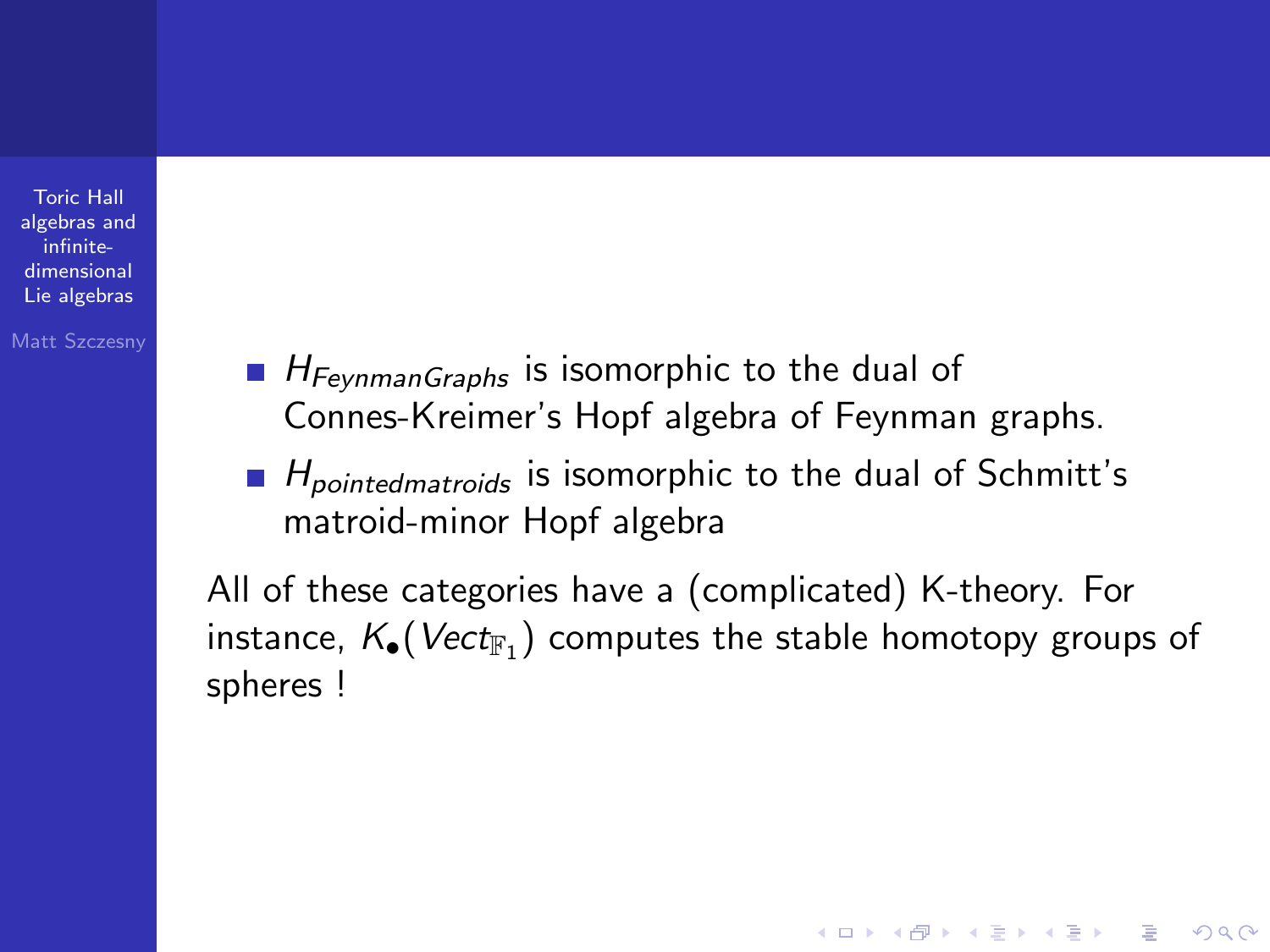Matt Szczesny

- $H_{FevnmanGraphs}$  is isomorphic to the dual of Connes-Kreimer's Hopf algebra of Feynman graphs.
- $H_{pointedmatroids}$  is isomorphic to the dual of Schmitt's matroid-minor Hopf algebra

All of these categories have a (complicated) K-theory. For instance,  $\mathcal{K}_\bullet(\mathit{Vect}_{\mathbb{F}_1})$  computes the stable homotopy groups of spheres !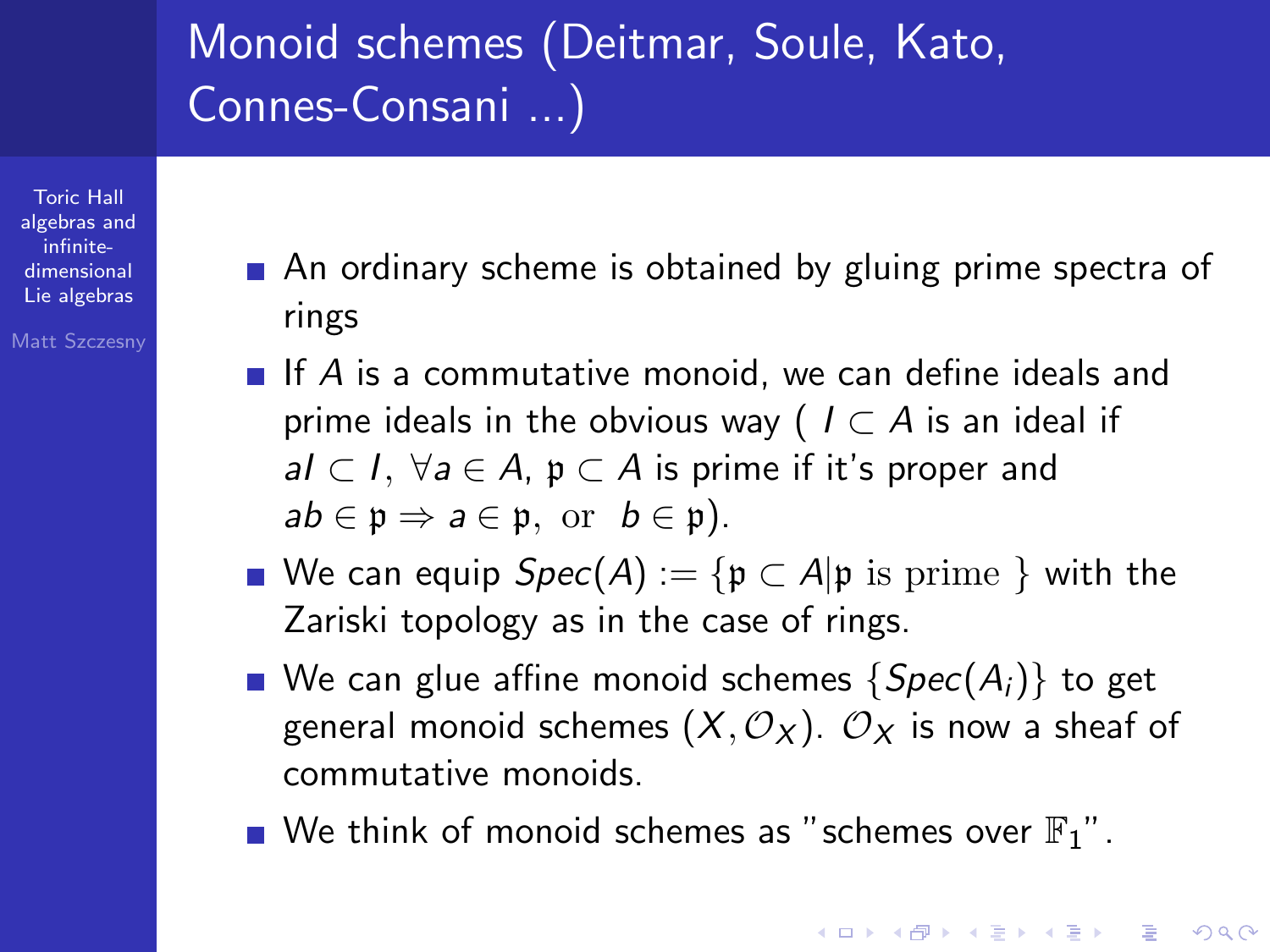# Monoid schemes (Deitmar, Soule, Kato, Connes-Consani ...)

Toric Hall [algebras and](#page-0-0) infinitedimensional Lie algebras

Matt Szczesny

- An ordinary scheme is obtained by gluing prime spectra of rings
- $\blacksquare$  If A is a commutative monoid, we can define ideals and prime ideals in the obvious way (  $I \subset A$  is an ideal if al ⊂ I,  $\forall a \in A$ ,  $\mathfrak{p} \subset A$  is prime if it's proper and  $ab \in \mathfrak{p} \Rightarrow a \in \mathfrak{p}$ , or  $b \in \mathfrak{p}$ ).
- We can equip  $Spec(A) := \{p \subset A | p$  is prime } with the Zariski topology as in the case of rings.
- We can glue affine monoid schemes  $\{Spec(A_i)\}\)$  to get general monoid schemes  $(X, \mathcal{O}_X)$ .  $\mathcal{O}_X$  is now a sheaf of commutative monoids.
- We think of monoid schemes as "schemes over  $\mathbb{F}_1$ ".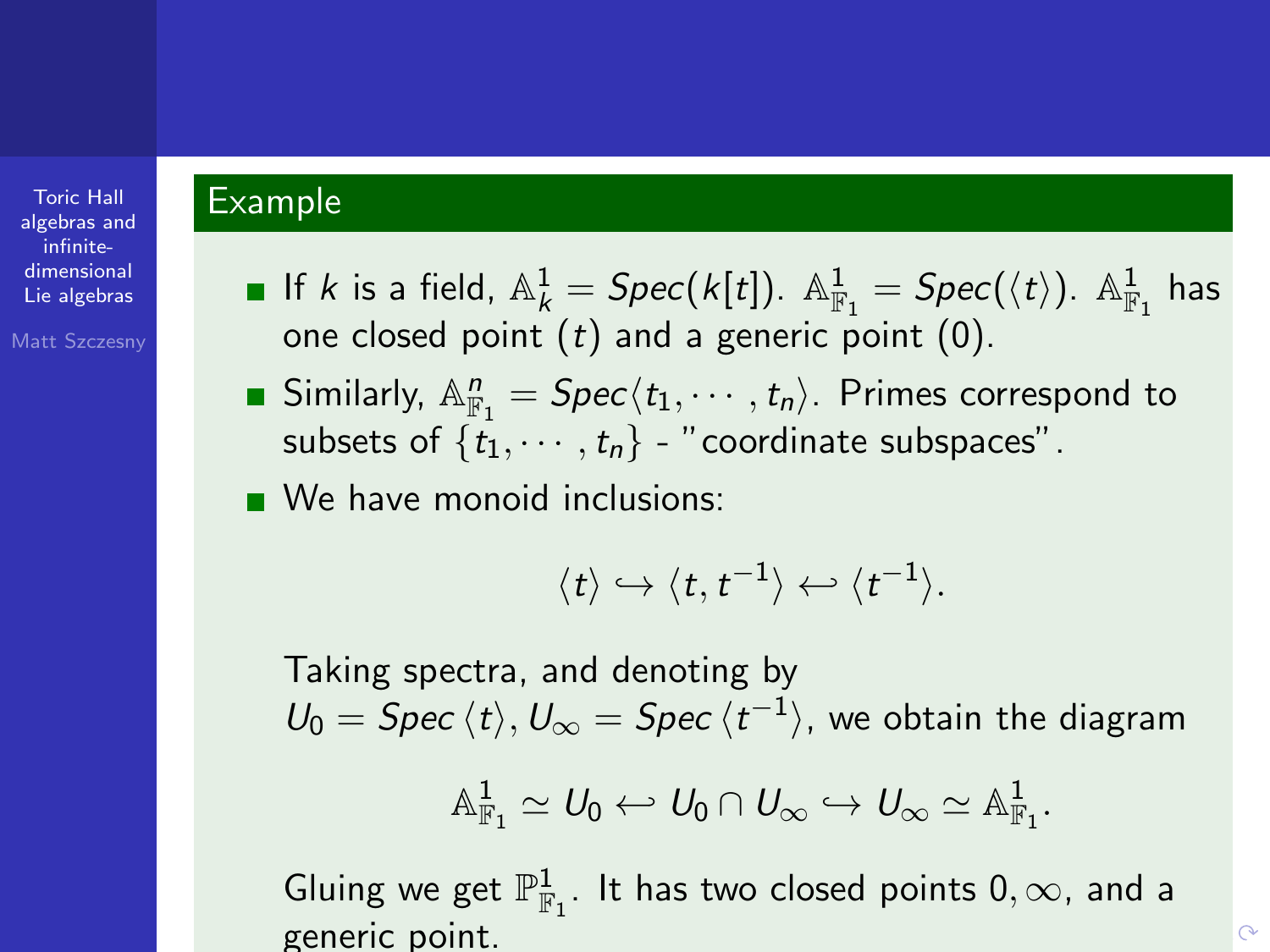### Example

Toric Hall [algebras and](#page-0-0) infinitedimensional Lie algebras

Matt Szczesny

- If  $k$  is a field,  $\mathbb{A}^1_k = \mathit{Spec}(k[t])$ .  $\mathbb{A}^1_{\mathbb{F}_1} = \mathit{Spec}(\langle t \rangle)$ .  $\mathbb{A}^1_{\mathbb{F}_1}$  has one closed point  $(t)$  and a generic point  $(0)$ .
- Similarly,  $\mathbb{A}^n_{\mathbb{F}_1} = \mathcal{S}pec\langle t_1,\cdots,t_n\rangle$ . Primes correspond to subsets of  $\{t_1, \dots, t_n\}$  - "coordinate subspaces".
- We have monoid inclusions:

$$
\langle t\rangle\hookrightarrow\langle t,t^{-1}\rangle\hookleftarrow\langle t^{-1}\rangle.
$$

Taking spectra, and denoting by  $U_0 = \text{Spec } \langle t \rangle, U_\infty = \text{Spec } \langle t^{-1} \rangle$ , we obtain the diagram

$$
\mathbb{A}^1_{\mathbb{F}_1}\simeq U_0 \hookleftarrow U_0\cap U_\infty \hookrightarrow U_\infty \simeq \mathbb{A}^1_{\mathbb{F}_1}.
$$

Gluing we get  $\mathbb{P}^1_{\mathbb{F}_1}.$  It has two closed points  $0,\infty,$  and a generic point.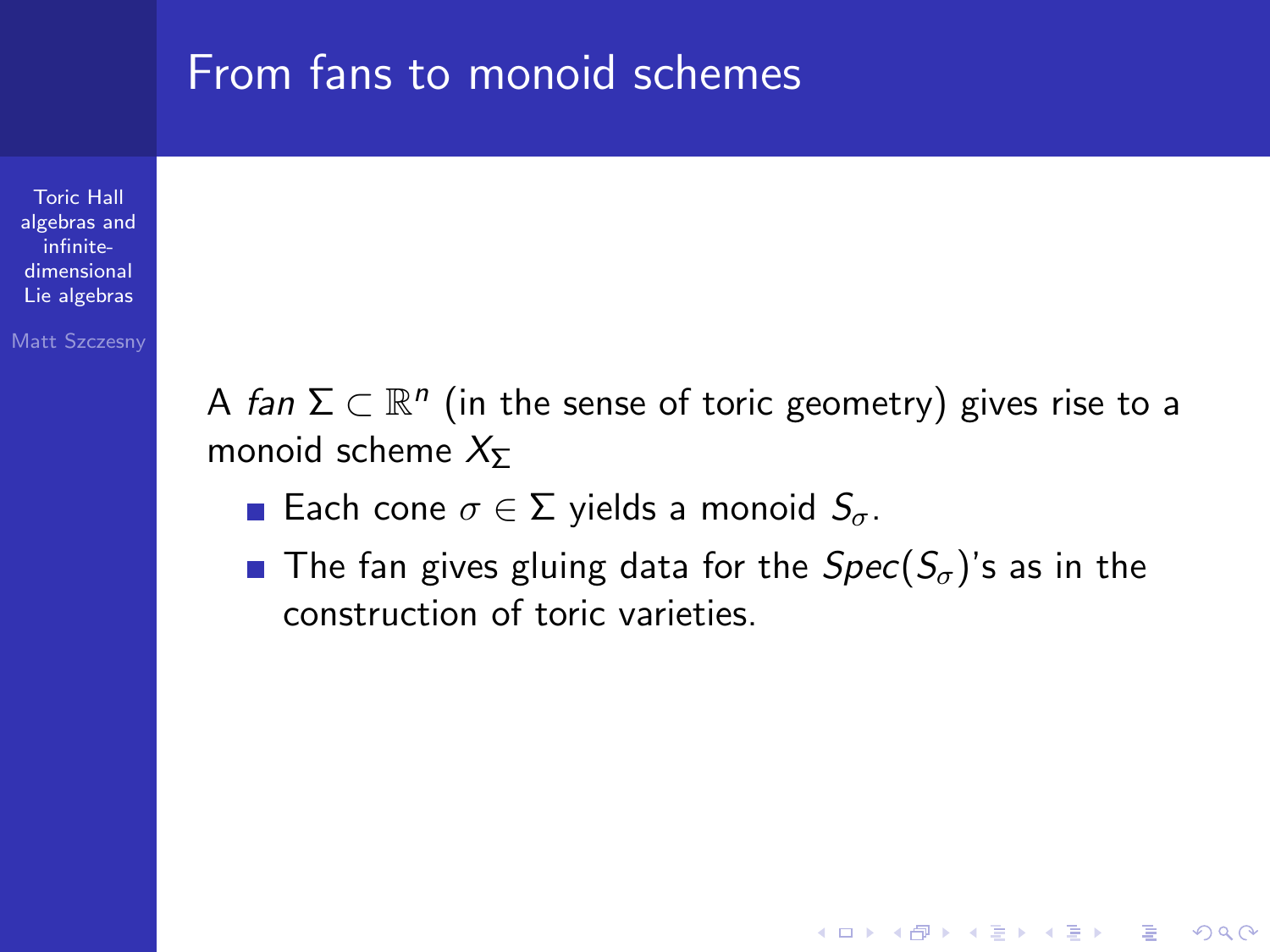### From fans to monoid schemes

Toric Hall [algebras and](#page-0-0) infinitedimensional Lie algebras

Matt Szczesny

A fan  $\Sigma \subset \mathbb{R}^n$  (in the sense of toric geometry) gives rise to a monoid scheme  $X_{\Sigma}$ 

**Each cone**  $\sigma \in \Sigma$  yields a monoid  $S_{\sigma}$ .

The fan gives gluing data for the  $Spec(S_{\sigma})$ 's as in the construction of toric varieties.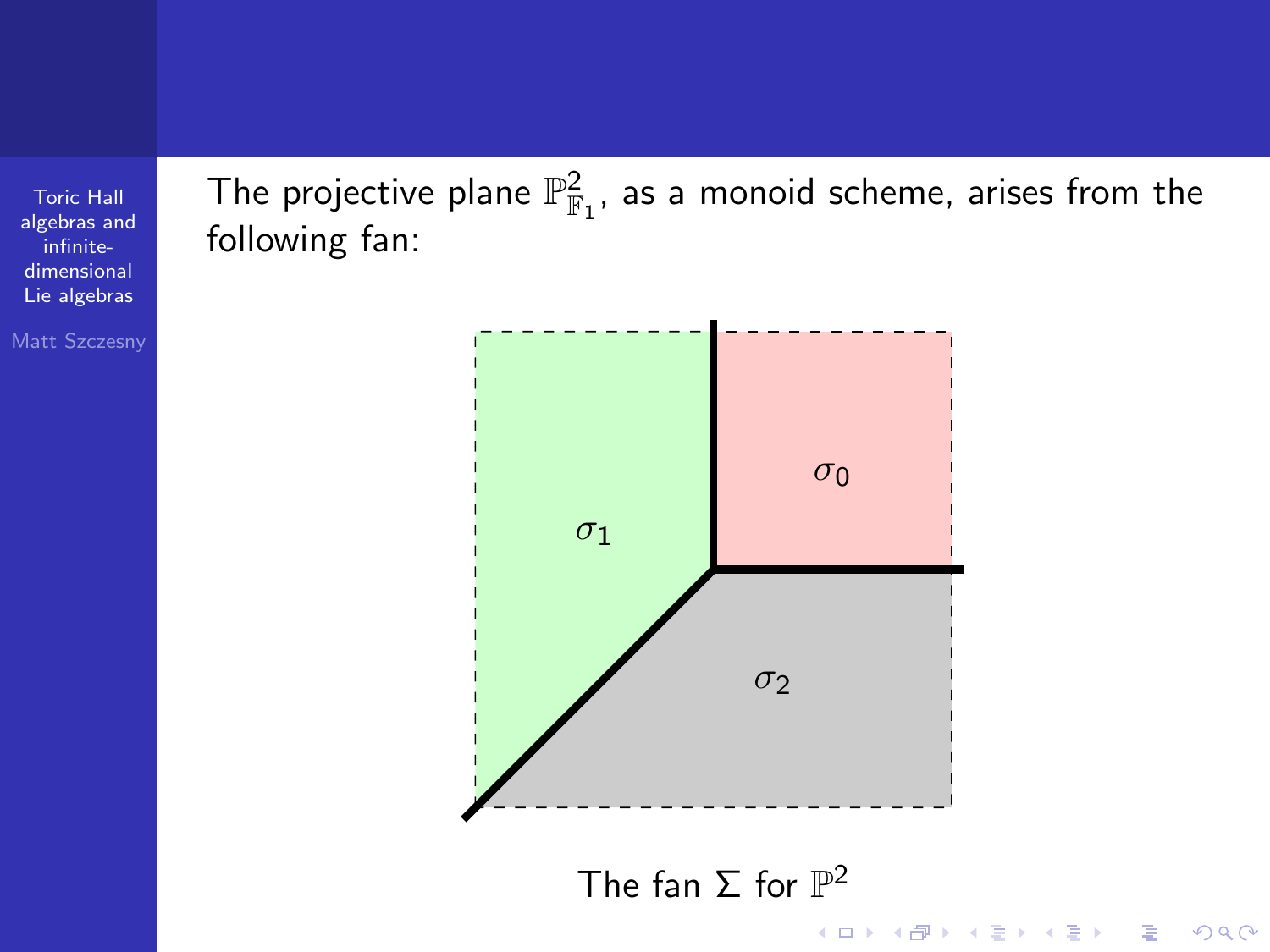Matt Szczesny

The projective plane  $\mathbb{P}^2_{\mathbb{F}_1}$ , as a monoid scheme, arises from the following fan:



The fan  $\Sigma$  for  $\mathbb{P}^2$ 

K ロ ▶ K @ ▶ K 할 > K 할 > 1 할 > 1 이익어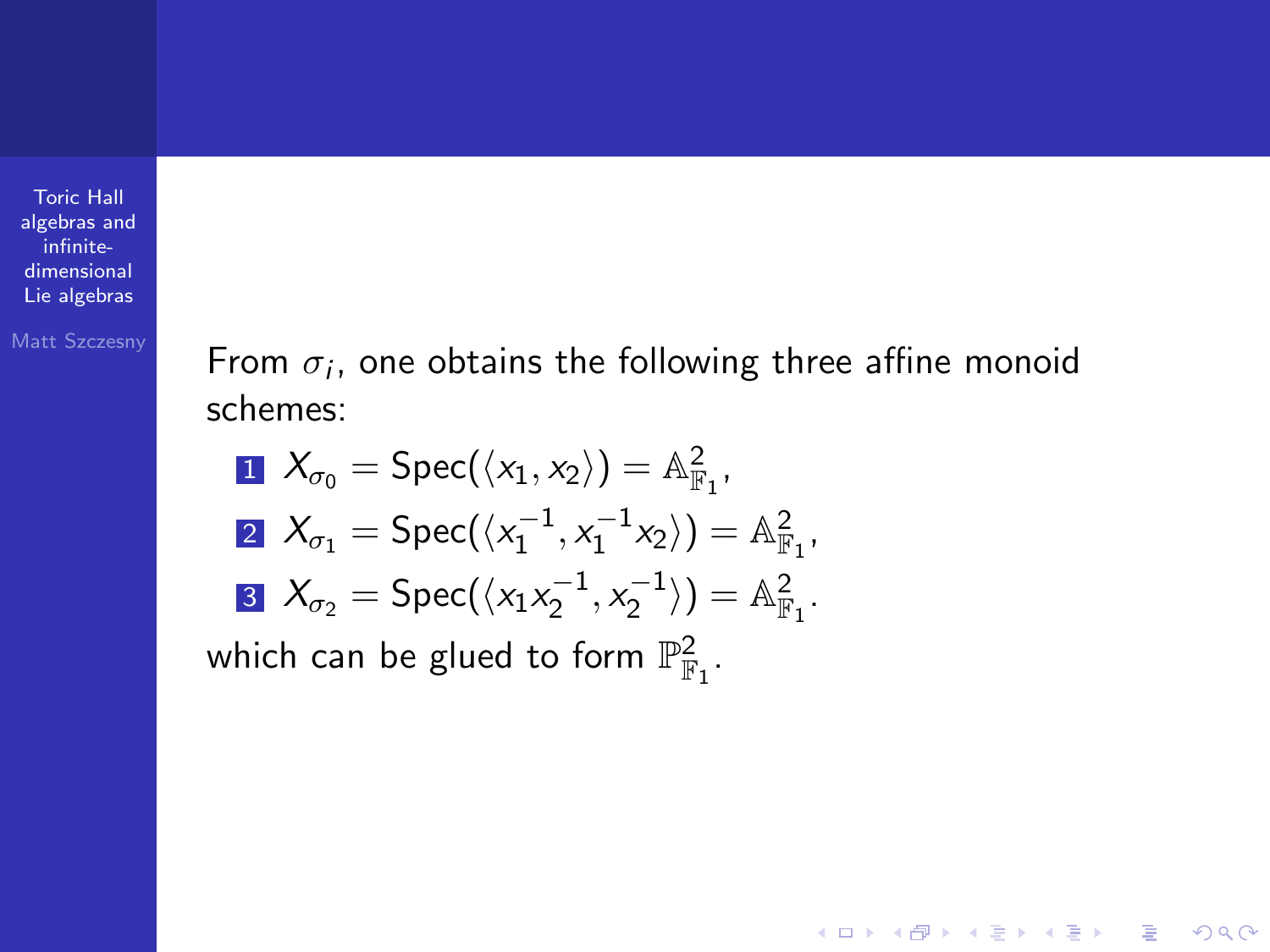Matt Szczesny **From**  $\sigma_i$ **, one obtains the following three affine monoid** schemes:

**KORK ERKER ADE YOUR** 

  $X_{\sigma_0} = \text{Spec}(\langle x_1, x_2 \rangle) = \mathbb{A}^2_{\mathbb{F}_1}$  $X_{\sigma_1} = \text{Spec}(\langle x_1^{-1}, x_1^{-1}x_2 \rangle) = \mathbb{A}^2_{\mathbb{F}_1}$  $X_{\sigma_2} = \text{Spec}(\langle x_1x_2^{-1}, x_2^{-1} \rangle) = \mathbb{A}^2_{\mathbb{F}_1}.$ which can be glued to form  $\mathbb{P}^2_{\mathbb{F}_1}.$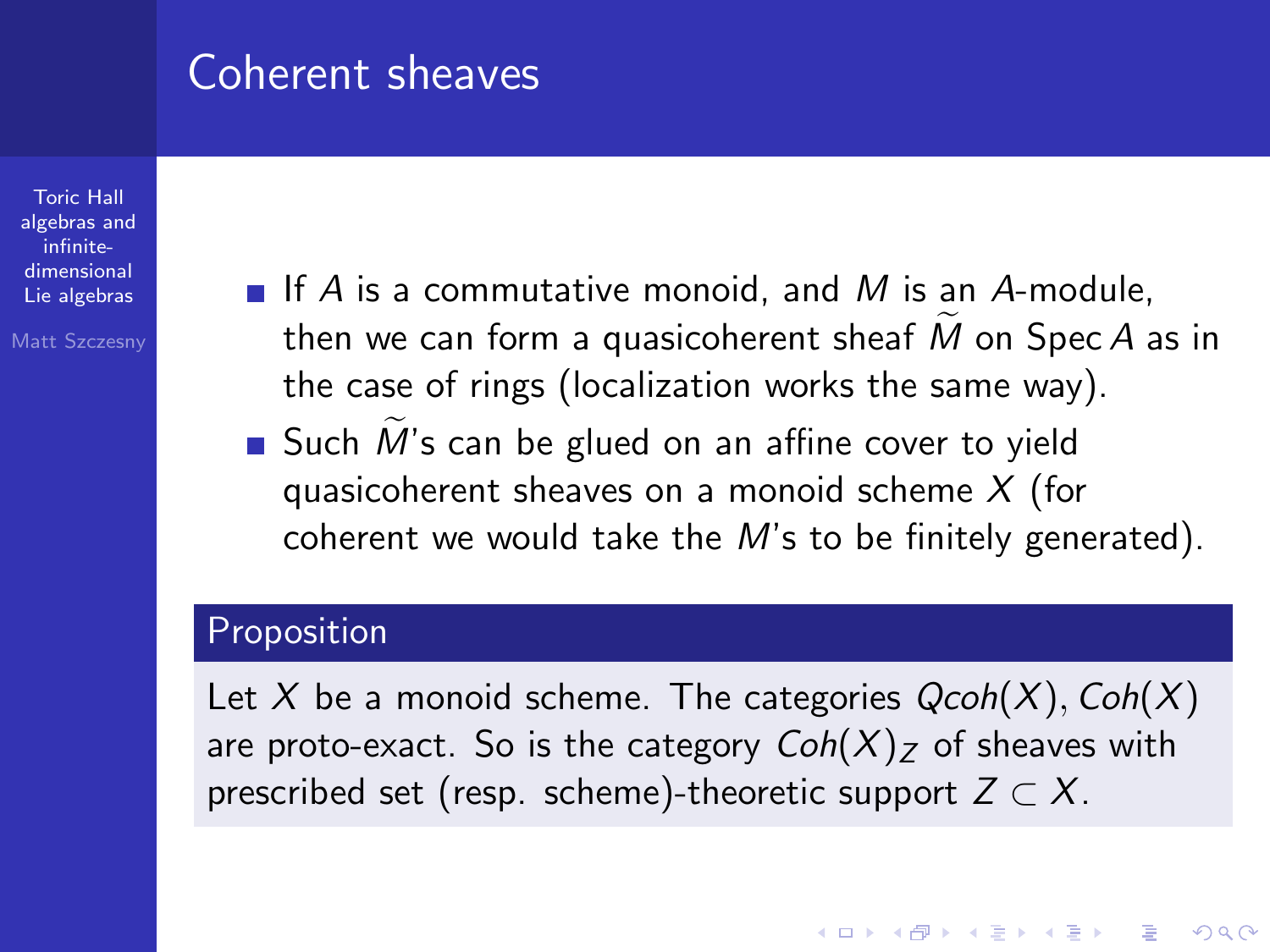### Coherent sheaves

Toric Hall [algebras and](#page-0-0) infinitedimensional Lie algebras

Matt Szczesny

- If A is a commutative monoid, and M is an A-module, then we can form a quasicoherent sheaf  $M$  on Spec A as in the case of rings (localization works the same way).
- Such  $M$ 's can be glued on an affine cover to yield quasicoherent sheaves on a monoid scheme  $X$  (for coherent we would take the M's to be finitely generated).

#### Proposition

Let X be a monoid scheme. The categories  $Qcoh(X)$ ,  $Coh(X)$ are proto-exact. So is the category  $\text{Coh}(X)_Z$  of sheaves with prescribed set (resp. scheme)-theoretic support  $Z \subset X$ .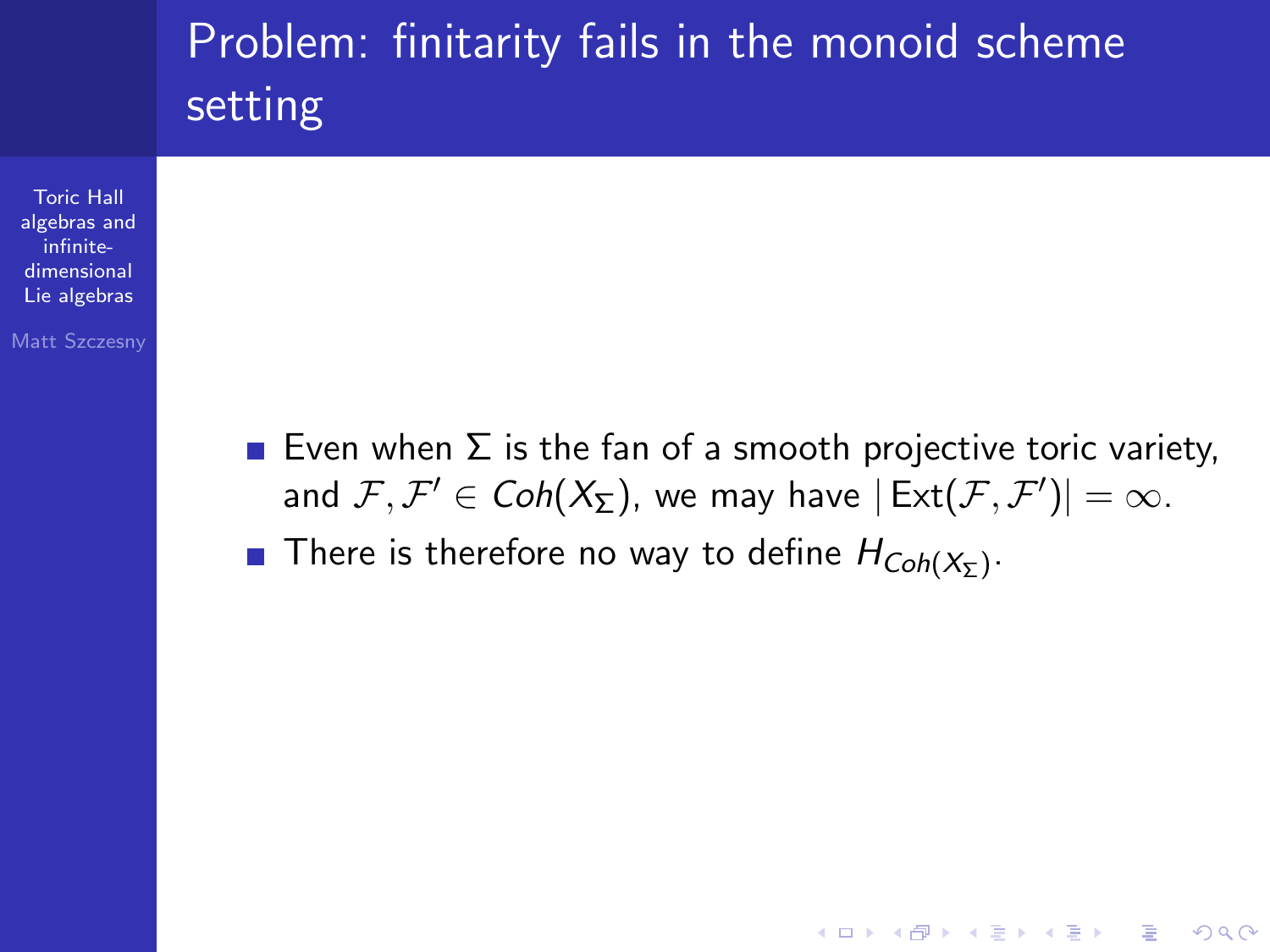# Problem: finitarity fails in the monoid scheme setting

Toric Hall [algebras and](#page-0-0) infinitedimensional Lie algebras

Matt Szczesny

Even when  $\Sigma$  is the fan of a smooth projective toric variety, and  $\mathcal{F}, \mathcal{F}' \in \mathit{Coh}(X_\Sigma)$ , we may have  $|\, \mathsf{Ext}(\mathcal{F}, \mathcal{F}')| = \infty.$ 

**KORK ERKER ADE YOUR** 

There is therefore no way to define  $H_{Coh(X_{\Sigma})}.$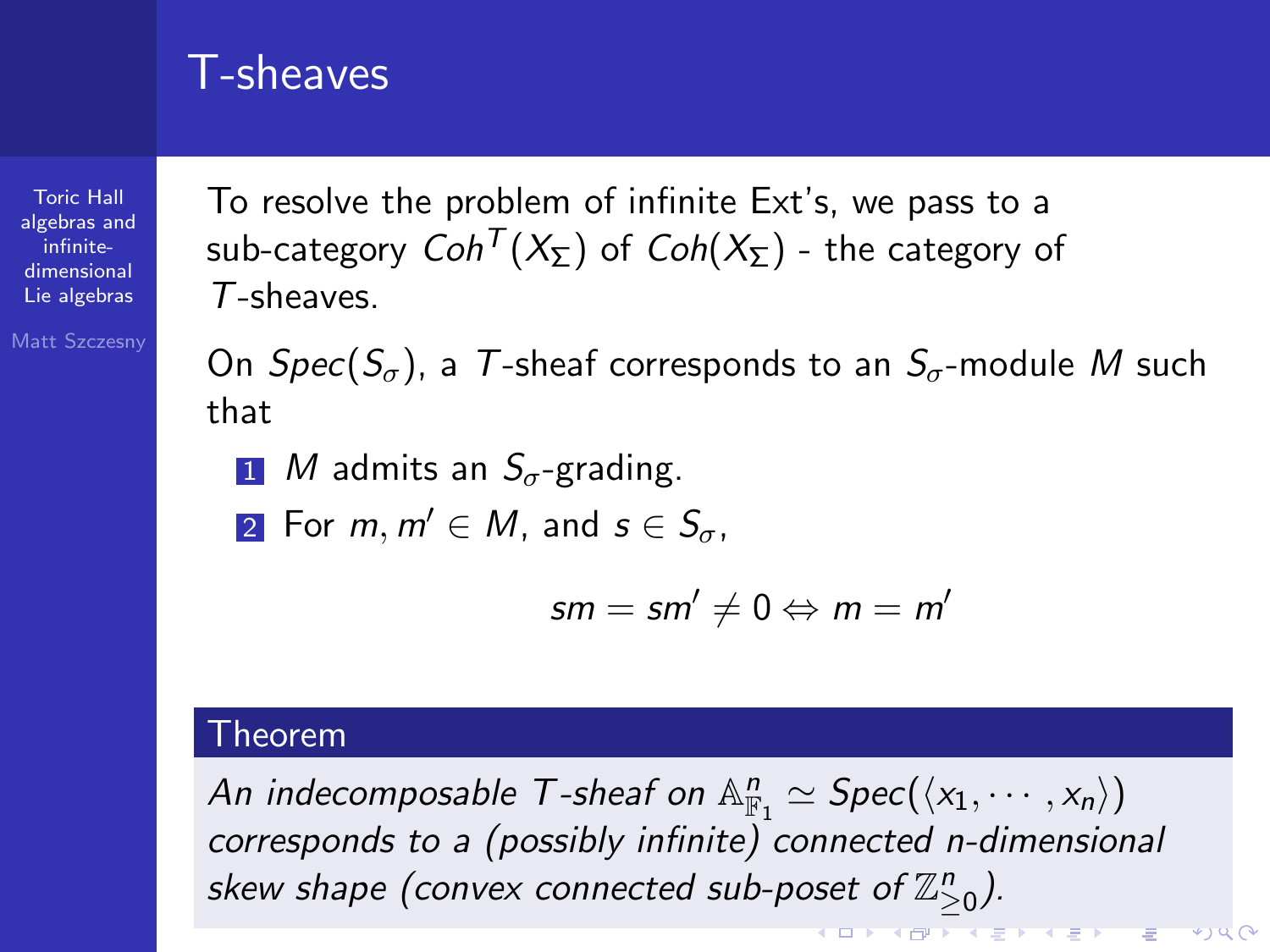### T-sheaves

Toric Hall [algebras and](#page-0-0) infinitedimensional Lie algebras

Matt Szczesny

To resolve the problem of infinite Ext's, we pass to a sub-category  $Coh<sup>T</sup>(X<sub>\Sigma</sub>)$  of  $Coh(X_{\overline{\Sigma}})$  - the category of T-sheaves.

On  $Spec(S_{\sigma})$ , a T-sheaf corresponds to an  $S_{\sigma}$ -module M such that

- 1 M admits an  $S_{\sigma}$ -grading.
- 2 For m,  $m' \in M$ , and  $s \in S_{\sigma}$ ,

$$
\mathit{sm} = \mathit{sm}' \neq 0 \Leftrightarrow m = m'
$$

**CONTRACT A STATE** 

 $\rightarrow$ yu (2 a.

#### Theorem

An indecomposable T-sheaf on  $\mathbb{A}^n_{\mathbb{F}_1}\simeq \mathcal{S}pec(\langle x_1,\cdots,x_n\rangle)$ corresponds to a (possibly infinite) connected n-dimensional skew shape (convex connected sub-poset of  $\mathbb{Z}_{\geq 0}^n$  ).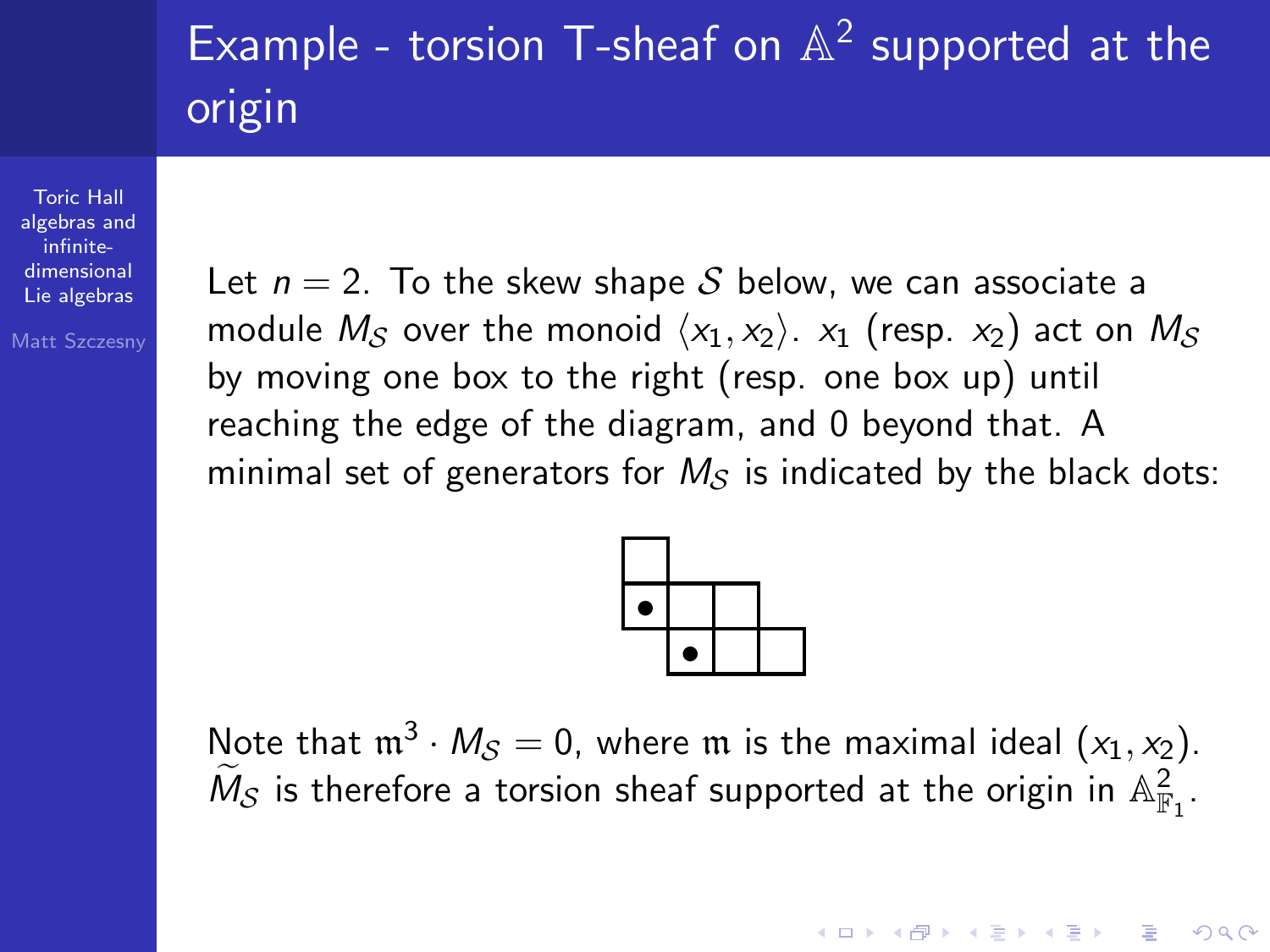# Example - torsion T-sheaf on  $\mathbb{A}^2$  supported at the origin

Toric Hall [algebras and](#page-0-0) infinitedimensional Lie algebras

Matt Szczesny

Let  $n = 2$ . To the skew shape S below, we can associate a module  $M_S$  over the monoid  $\langle x_1, x_2 \rangle$ .  $x_1$  (resp.  $x_2$ ) act on  $M_S$ by moving one box to the right (resp. one box up) until reaching the edge of the diagram, and 0 beyond that. A minimal set of generators for  $M<sub>S</sub>$  is indicated by the black dots:



Note that  $\mathfrak{m}^3 \cdot M_{\mathcal{S}} = 0$ , where  $\mathfrak{m}$  is the maximal ideal  $(x_1, x_2)$ .  $\widetilde{M}_\mathcal{S}$  is therefore a torsion sheaf supported at the origin in  $\mathbb{A}^2_{\mathbb{F}_1}.$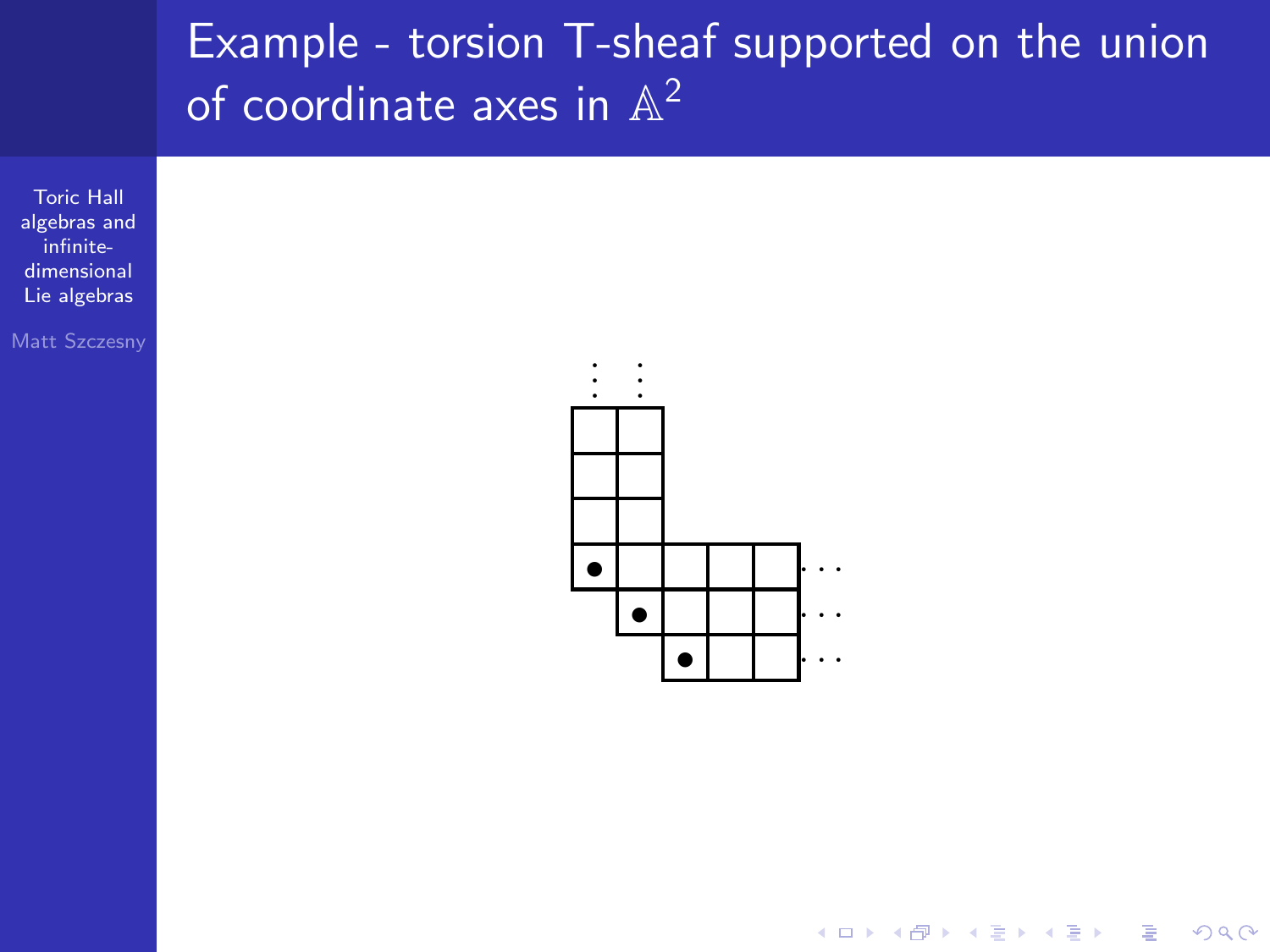# Example - torsion T-sheaf supported on the union of coordinate axes in  $\mathbb{A}^2$



Matt Szczesny



K ロ ▶ K @ ▶ K 할 > K 할 > 1 할 > 1 이익어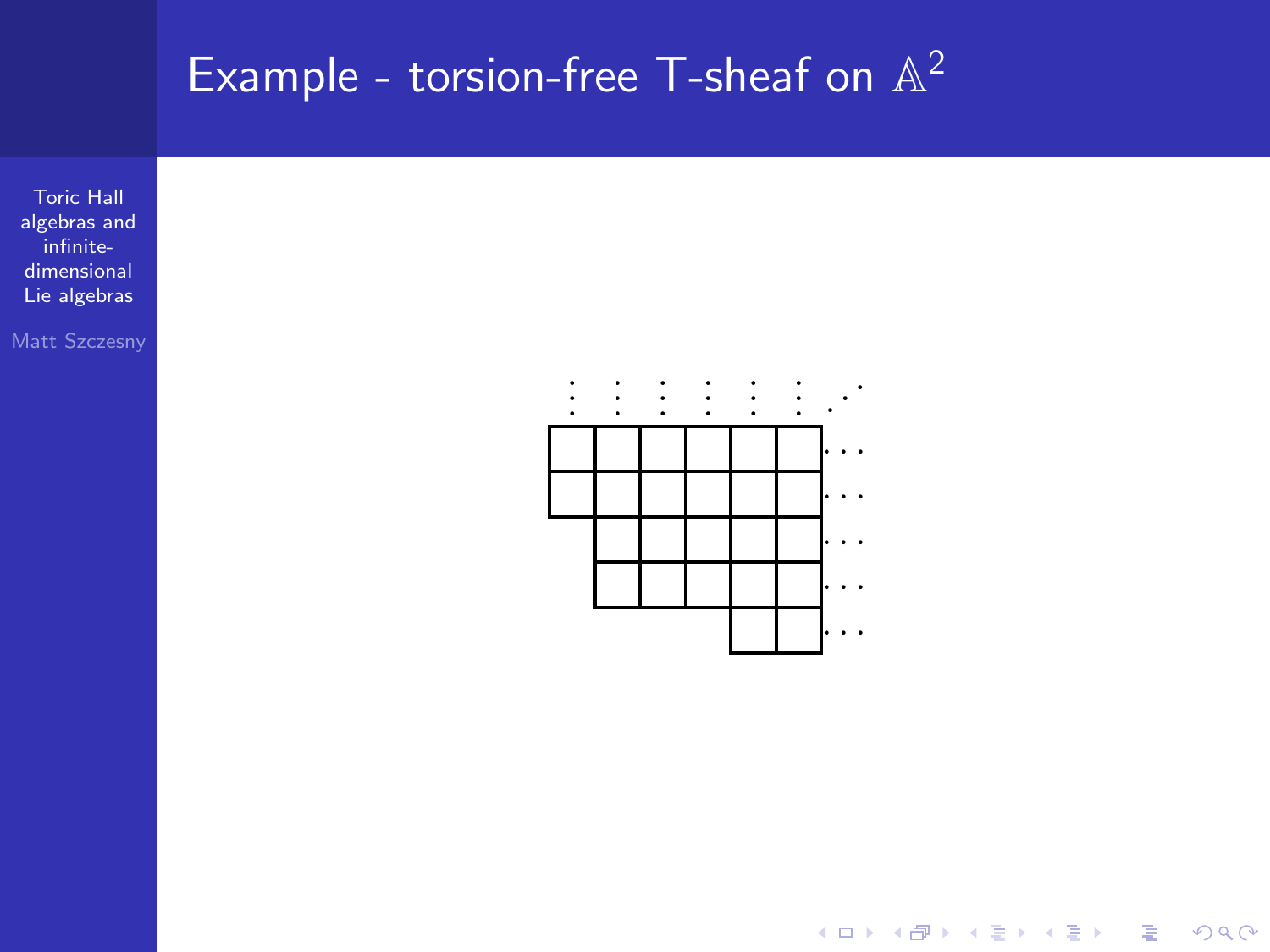# Example - torsion-free T-sheaf on  $\mathbb{A}^2$

Toric Hall [algebras and](#page-0-0) infinitedimensional Lie algebras

Matt Szczesny



K ロ ▶ K @ ▶ K 할 X X 할 X | 할 X 1 9 Q Q ^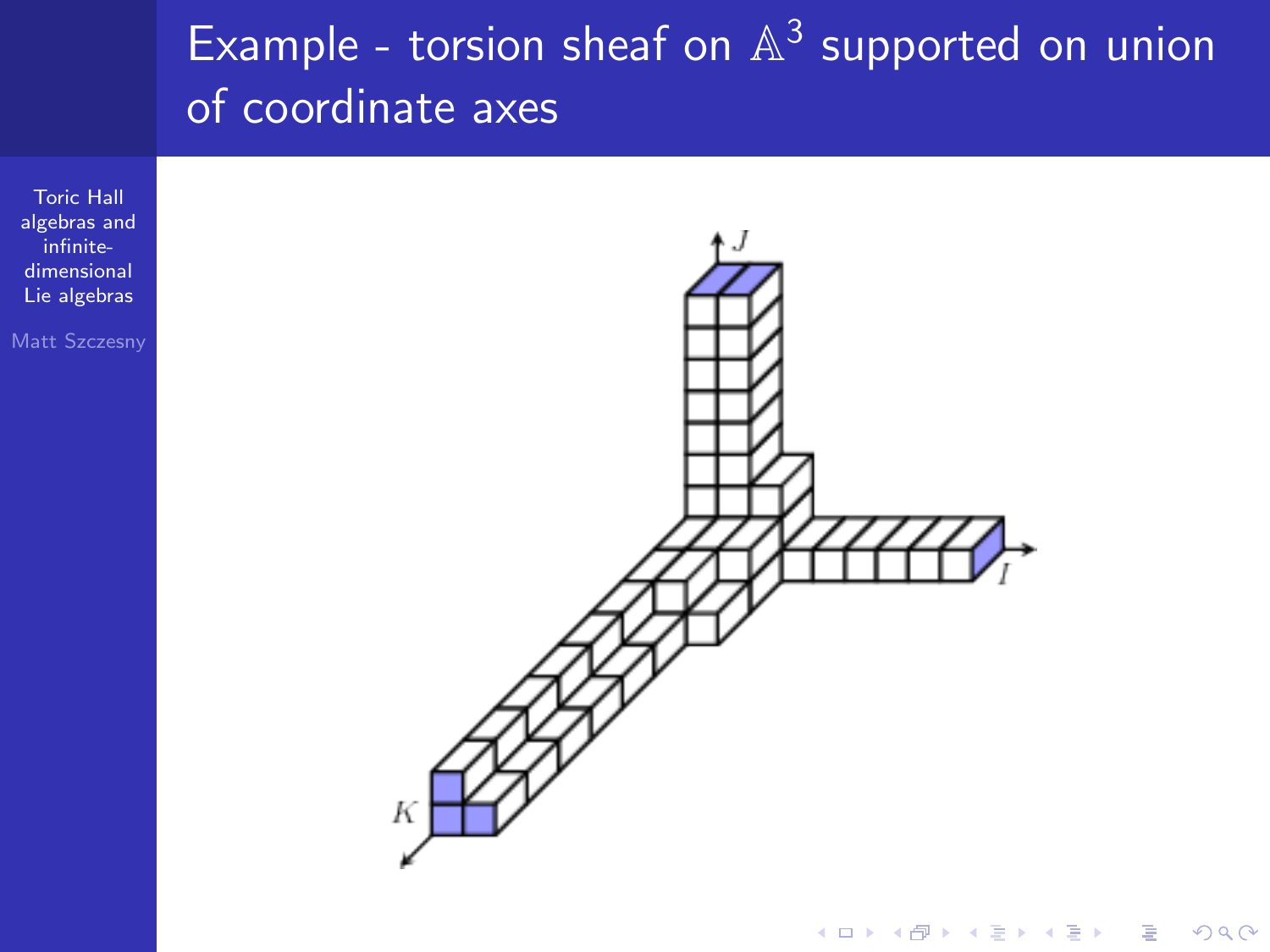# Example - torsion sheaf on  $\mathbb{A}^3$  supported on union of coordinate axes

Toric Hall [algebras and](#page-0-0) infinitedimensional Lie algebras

Matt Szczesny



 $\Rightarrow$ 

 $2990$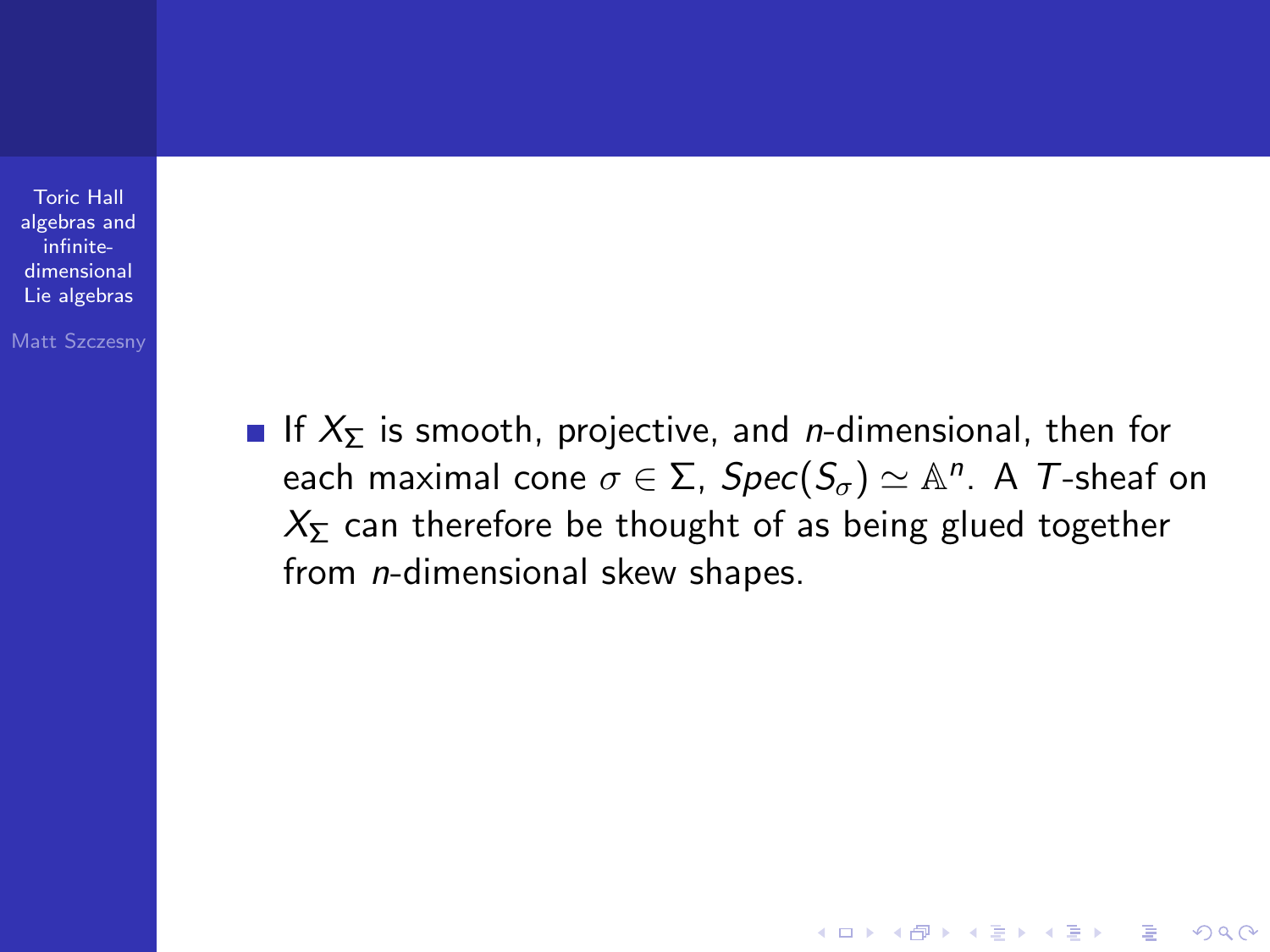Matt Szczesny

If  $X_{\overline{2}}$  is smooth, projective, and *n*-dimensional, then for each maximal cone  $\sigma \in \Sigma$ ,  $Spec(S_{\sigma}) \simeq \mathbb{A}^n$ . A  $\mathcal T$ -sheaf on  $X_{\Sigma}$  can therefore be thought of as being glued together from *n*-dimensional skew shapes.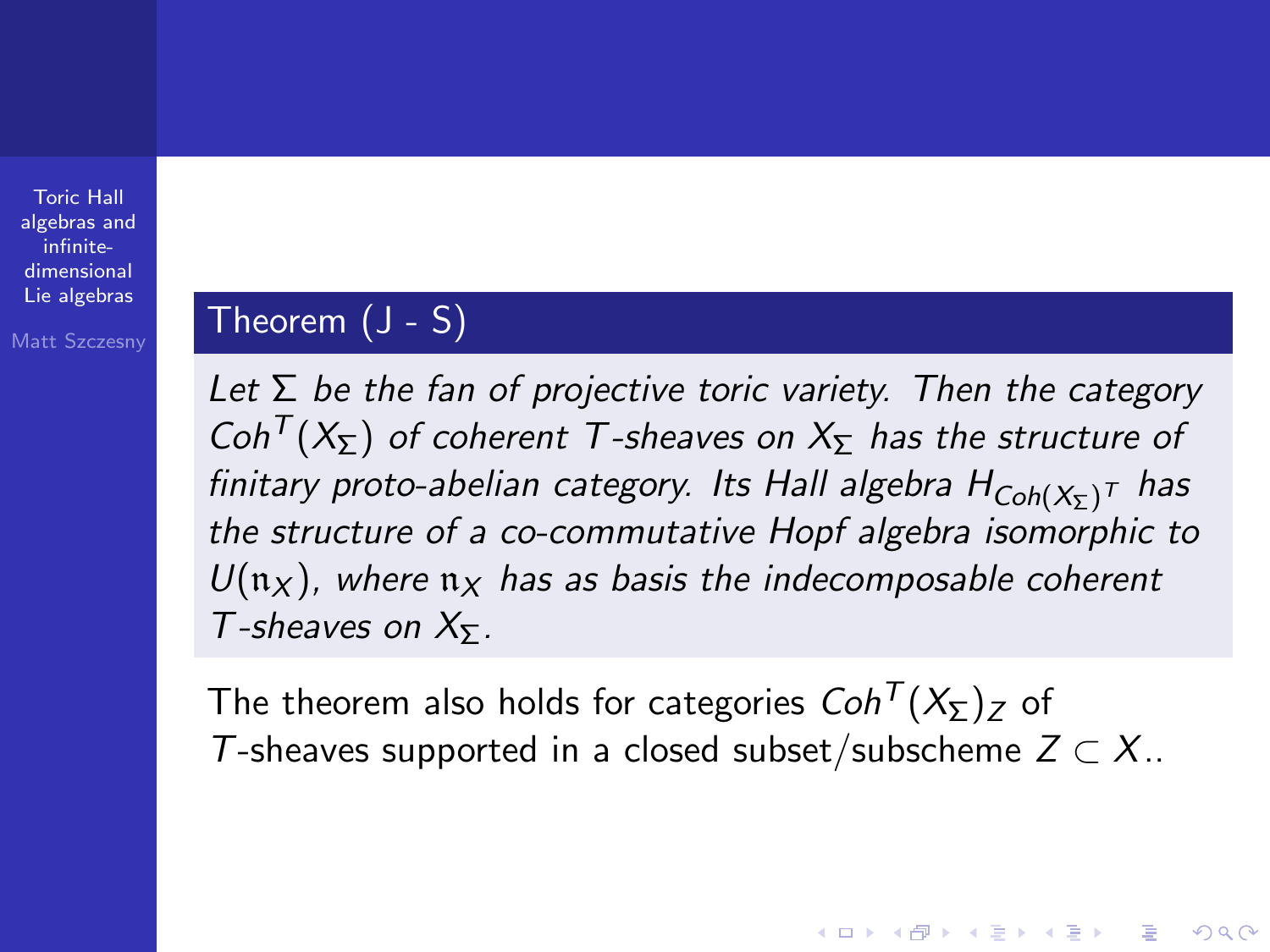Matt Szczesny

### Theorem  $(J - S)$

Let  $\Sigma$  be the fan of projective toric variety. Then the category Coh<sup>T</sup>( $X_{\overline{Y}}$ ) of coherent T-sheaves on  $X_{\overline{Y}}$  has the structure of finitary proto-abelian category. Its Hall algebra  $H_{\mathsf{Coh}(X_\Sigma)^\mathsf{T}}$  has the structure of a co-commutative Hopf algebra isomorphic to  $U(n_X)$ , where  $n_X$  has as basis the indecomposable coherent T-sheaves on  $X_{\Sigma}$ .

The theorem also holds for categories  $Coh<sup>T</sup>(X<sub>\Sigma</sub>)$ <sub>z</sub> of T-sheaves supported in a closed subset/subscheme  $Z \subset X$ ..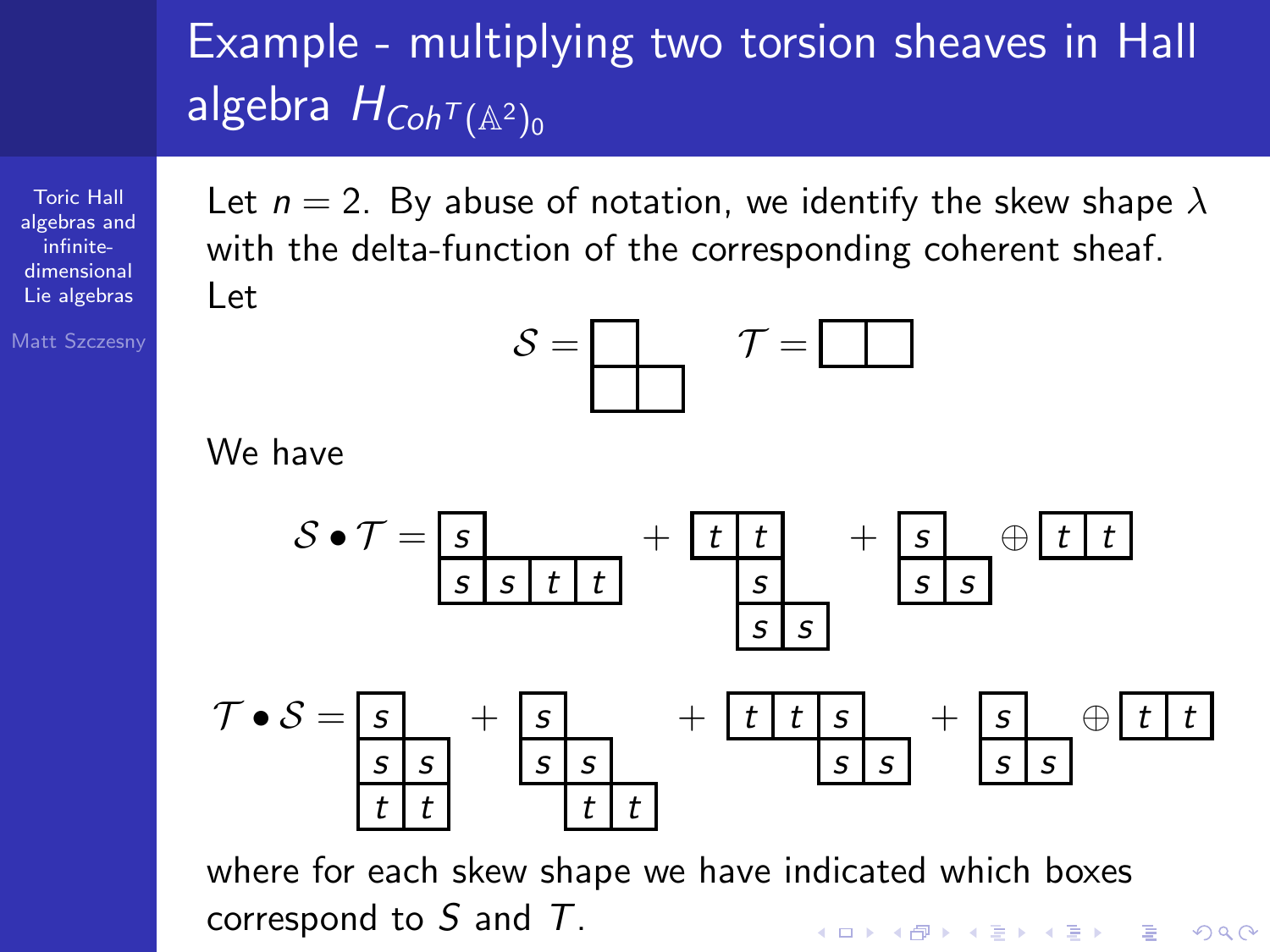# Example - multiplying two torsion sheaves in Hall algebra  $H_{Coh^{T}(\mathbb{A}^{2})_{0}}$

Toric Hall [algebras and](#page-0-0) infinitedimensional Lie algebras

Matt Szczesny

Let  $n = 2$ . By abuse of notation, we identify the skew shape  $\lambda$ with the delta-function of the corresponding coherent sheaf. Let

$$
\mathcal{S} = \begin{bmatrix} \mathcal{S} \\ \mathcal{S} \end{bmatrix} \qquad \mathcal{T} = \begin{bmatrix} \mathcal{S} \\ \mathcal{S} \end{bmatrix}
$$

We have



where for each skew shape we have indicated which boxes correspond to S and T.**KORK ERKER ADE YOUR**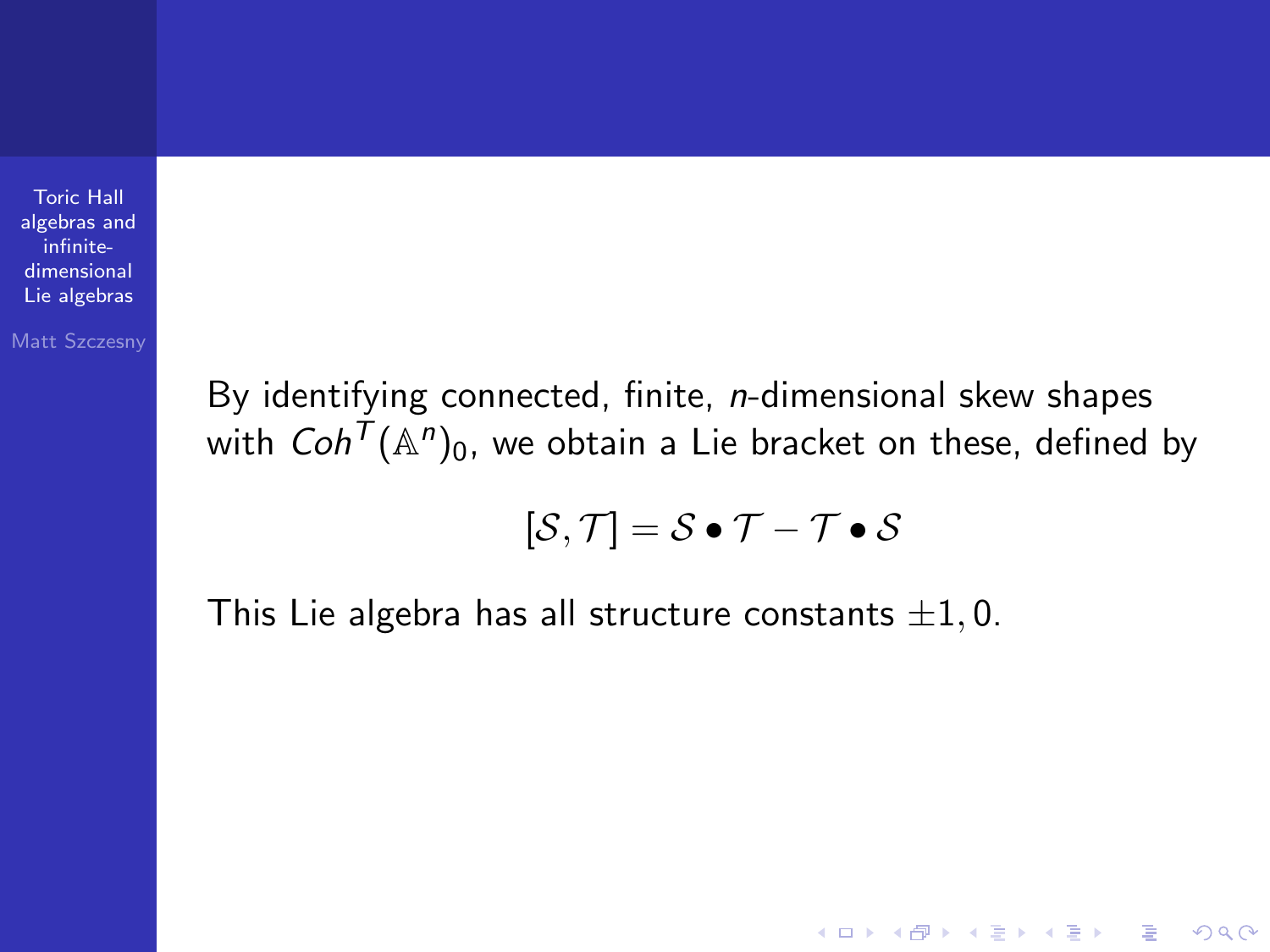Matt Szczesny

By identifying connected, finite, *n*-dimensional skew shapes with  $\mathit{Coh}^{\mathcal{T}}(\mathbb{A}^n)_0$ , we obtain a Lie bracket on these, defined by

$$
[\mathcal{S},\mathcal{T}]=\mathcal{S}\bullet\mathcal{T}-\mathcal{T}\bullet\mathcal{S}
$$

**KORK ERKER ADE YOUR** 

This Lie algebra has all structure constants  $\pm 1, 0$ .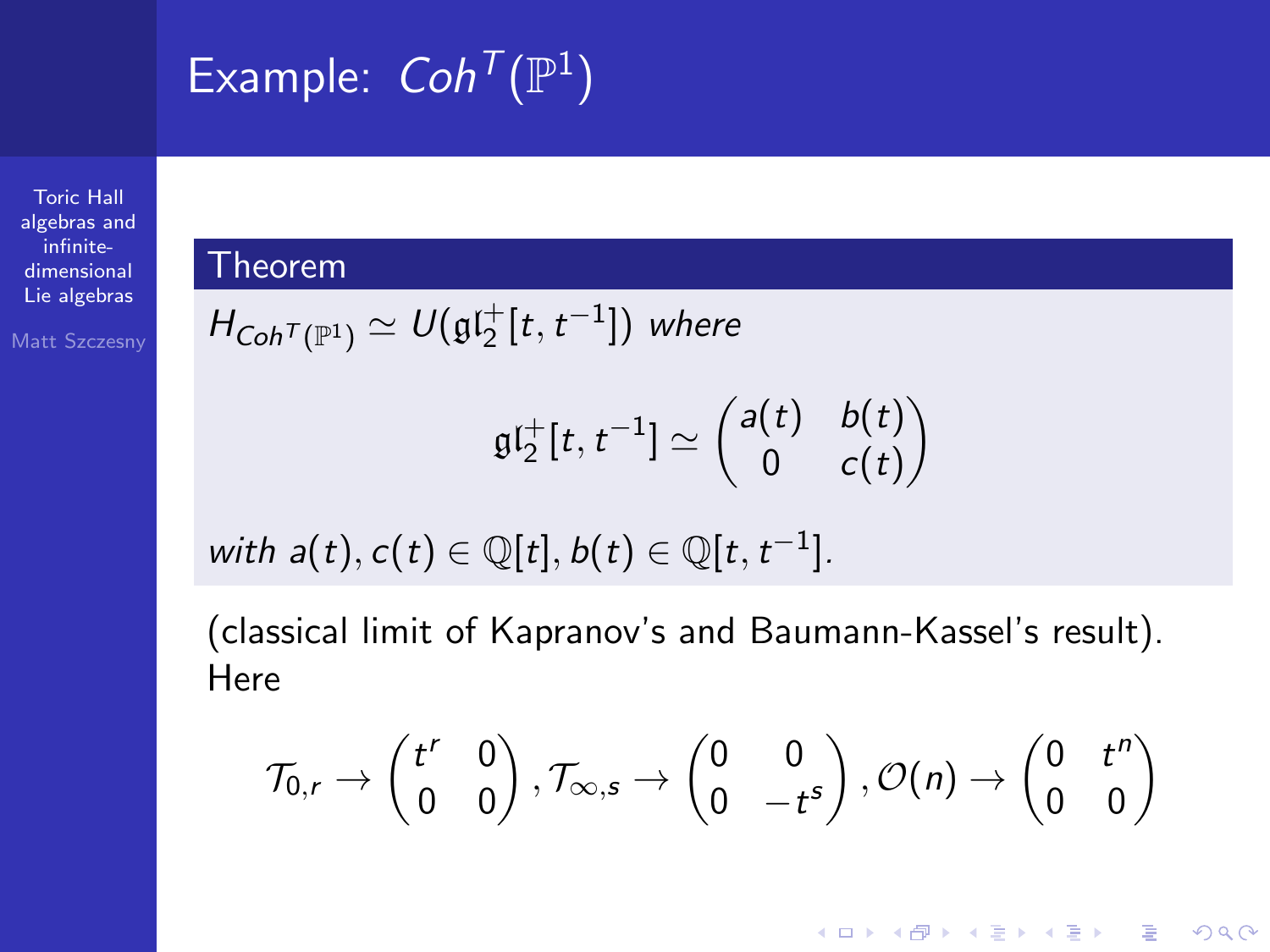# Example:  $Coh<sup>T</sup>(\mathbb{P}^1)$

Toric Hall [algebras and](#page-0-0) infinitedimensional Lie algebras

Matt Szczesny

### Theorem

 $H_{Coh^{\mathcal{T}}(\mathbb{P}^1)} \simeq \mathit{U}(\mathfrak{gl}_2^+[t,t^{-1}])$  where

$$
\mathfrak{gl}_2^+[t,t^{-1}]\simeq\begin{pmatrix} a(t)&b(t)\\0&c(t)\end{pmatrix}
$$

with 
$$
a(t), c(t) \in \mathbb{Q}[t], b(t) \in \mathbb{Q}[t, t^{-1}].
$$

(classical limit of Kapranov's and Baumann-Kassel's result). Here

$$
\mathcal{T}_{0,r} \to \begin{pmatrix} t^r & 0 \\ 0 & 0 \end{pmatrix}, \mathcal{T}_{\infty,s} \to \begin{pmatrix} 0 & 0 \\ 0 & -t^s \end{pmatrix}, \mathcal{O}(n) \to \begin{pmatrix} 0 & t^n \\ 0 & 0 \end{pmatrix}
$$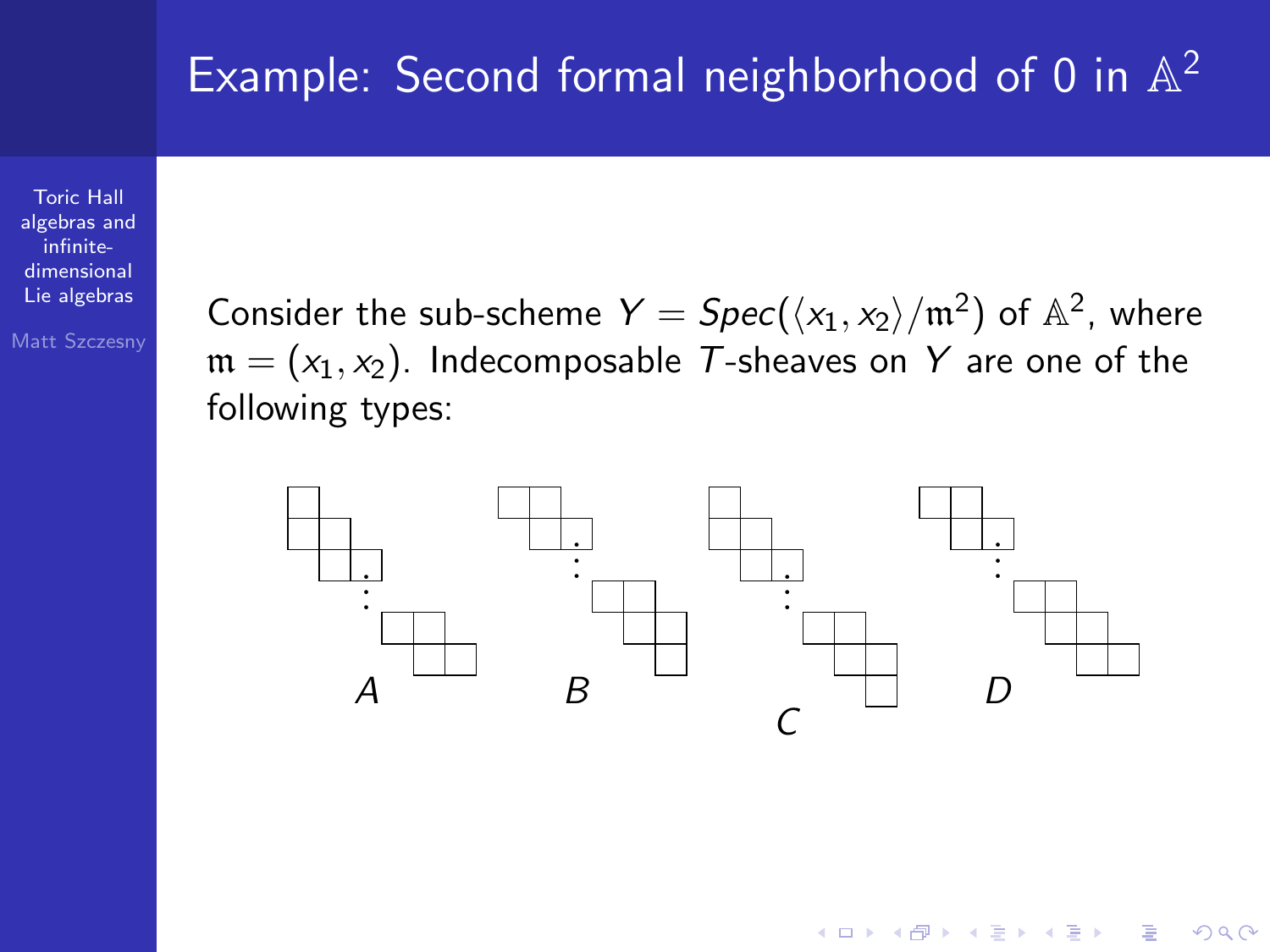# Example: Second formal neighborhood of 0 in  $\mathbb{A}^2$

Toric Hall [algebras and](#page-0-0) infinitedimensional Lie algebras

Matt Szczesny

Consider the sub-scheme  $Y = \text{Spec}(\langle x_1, x_2 \rangle / \mathfrak{m}^2)$  of  $\mathbb{A}^2$ , where  $m = (x_1, x_2)$ . Indecomposable T-sheaves on Y are one of the following types:



**KORK STRAIN A BAR SHOP**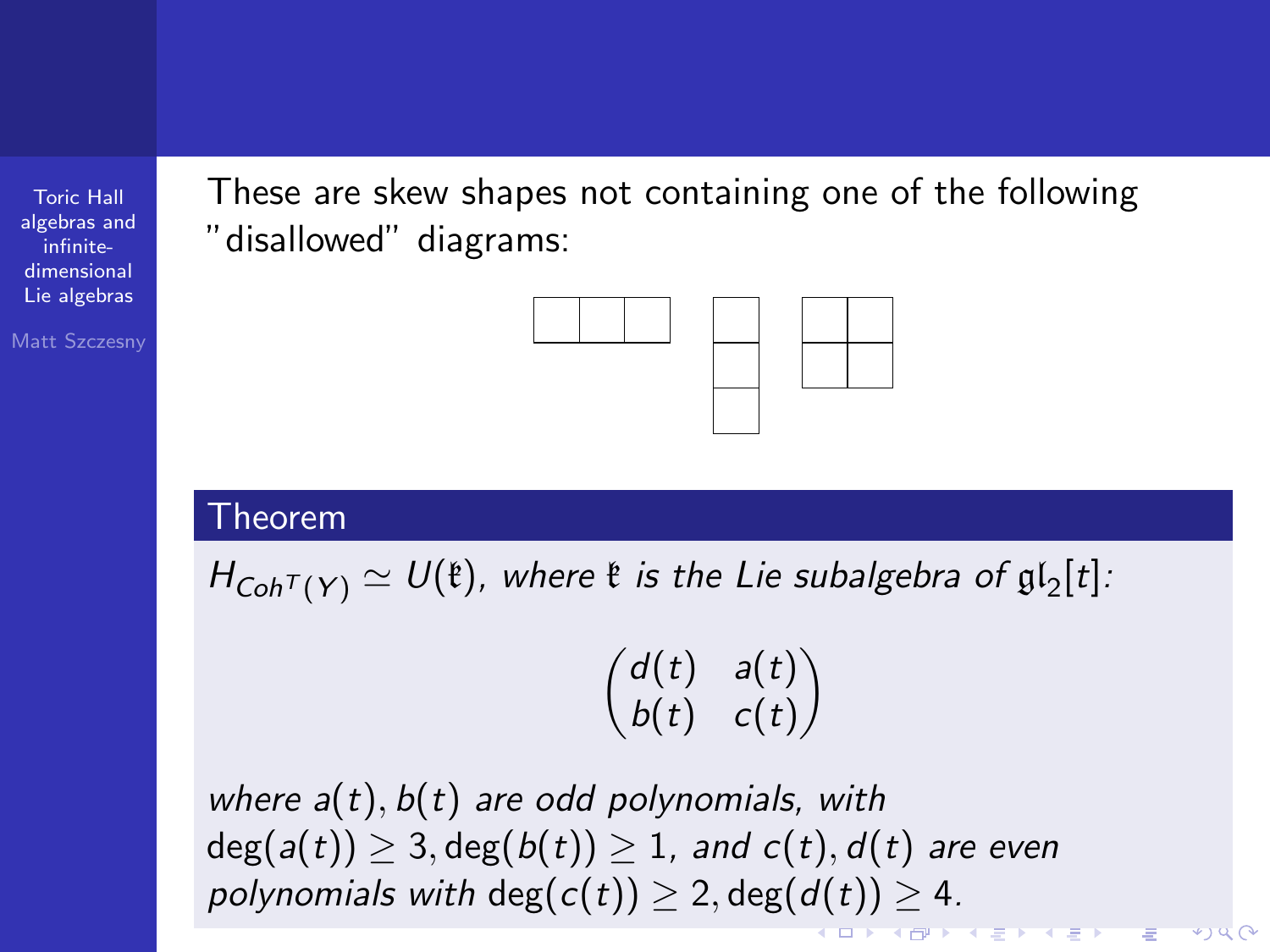Matt Szczesny

These are skew shapes not containing one of the following "disallowed" diagrams:



#### Theorem

 $H_{Coh^{\mathcal{T}}(Y)} \simeq \mathcal{U}(\mathfrak{k})$ , where  $\mathfrak{k}$  is the Lie subalgebra of  $\mathfrak{gl}_2[t]$ :

$$
\begin{pmatrix} d(t) & a(t) \\ b(t) & c(t) \end{pmatrix}
$$

Ξ

where  $a(t)$ ,  $b(t)$  are odd polynomials, with  $deg(a(t)) \geq 3, deg(b(t)) \geq 1$ , and  $c(t)$ ,  $d(t)$  are even polynomials with deg( $c(t)$ )  $\geq 2$ , deg( $d(t)$ )  $\geq 4$ . **OF REFRESH CENT**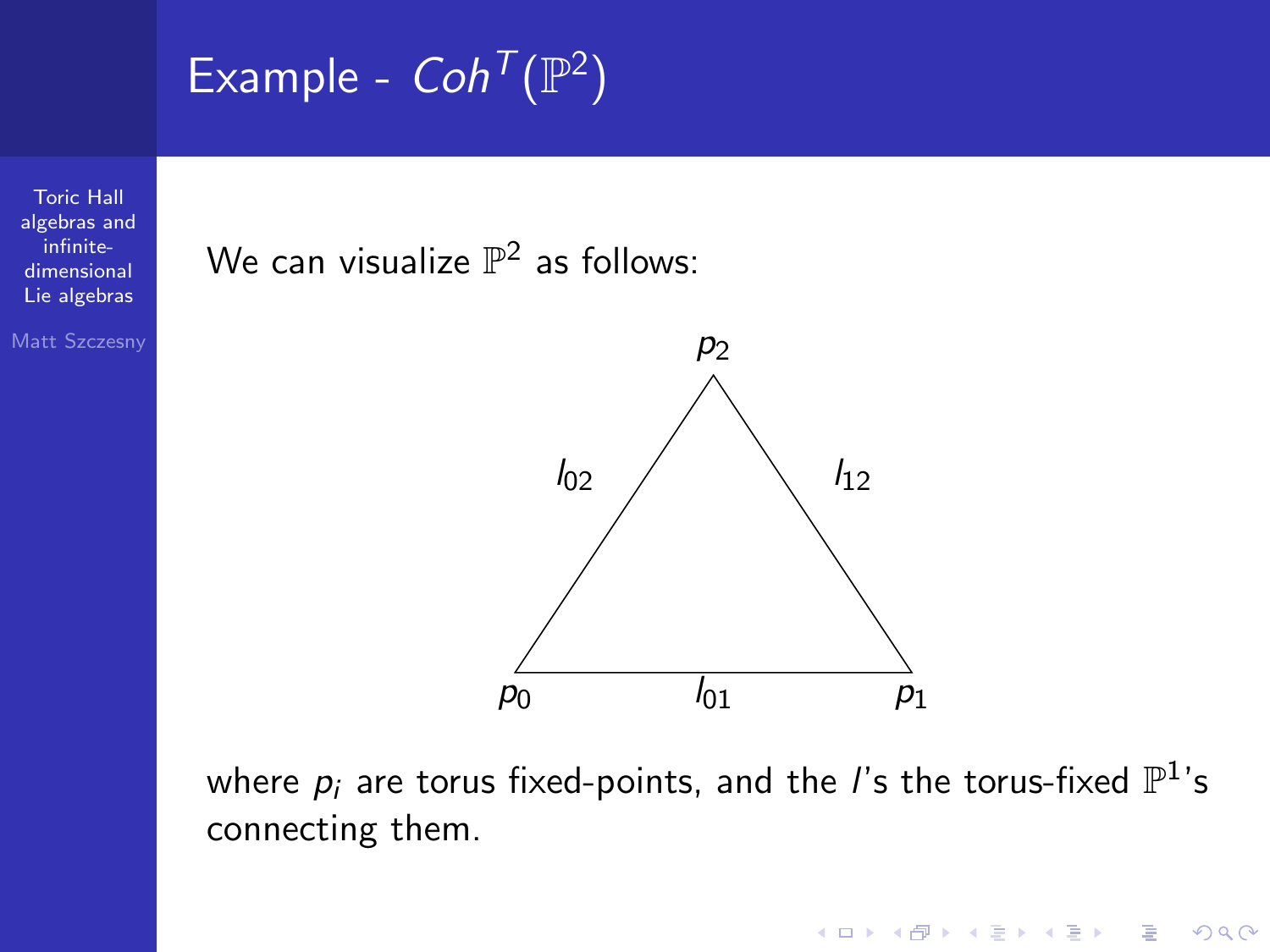Example -  $Coh^{\mathcal{T}}(\mathbb{P}^2)$ 

Matt Szczesny

We can visualize  $\mathbb{P}^2$  as follows:



where  $p_i$  are torus fixed-points, and the  $l$ 's the torus-fixed  $\mathbb{P}^1$ 's connecting them.

**KORKA SERKER ORA**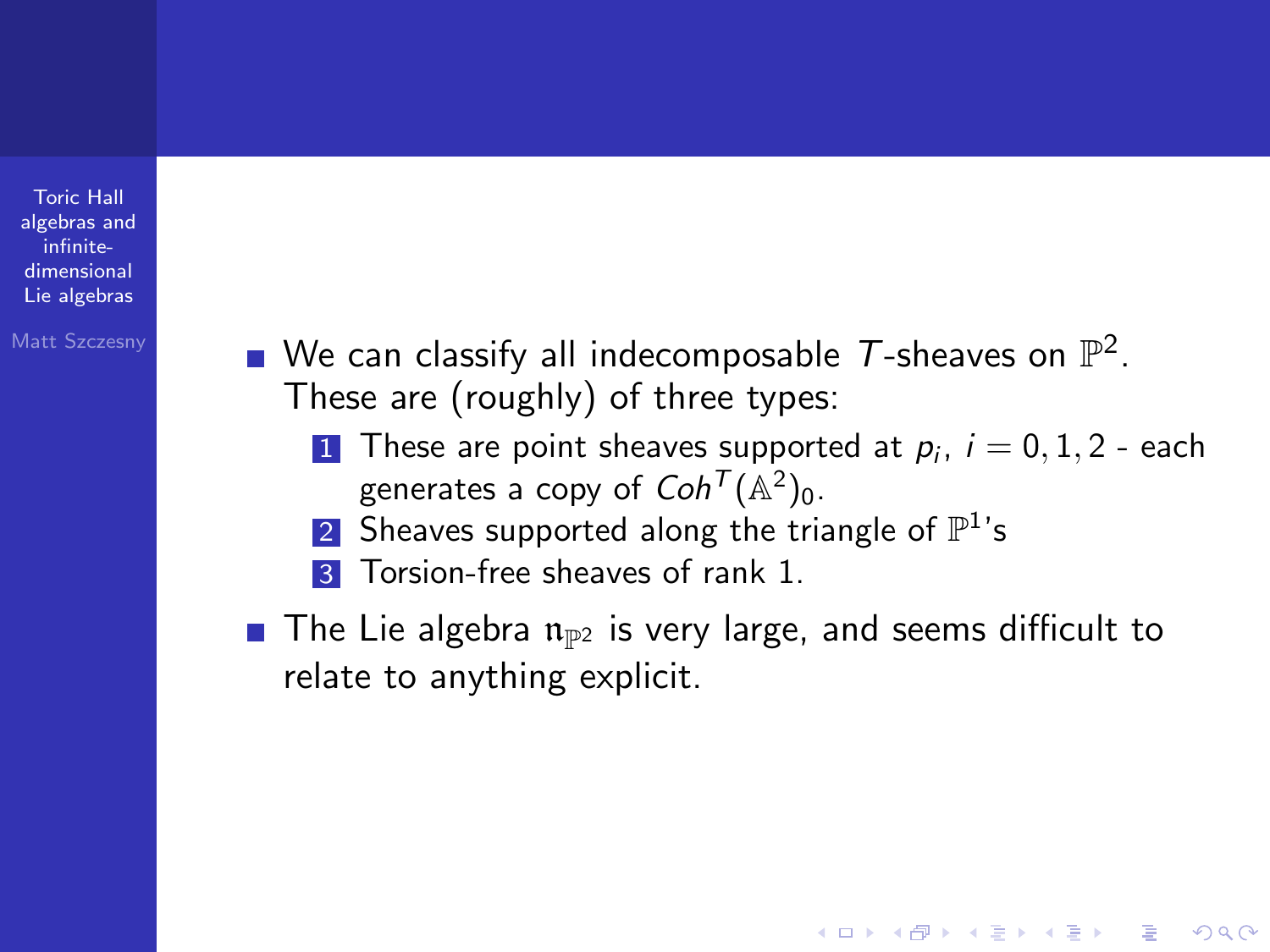- Matt Szczesny **We can classify all indecomposable T-sheaves on**  $\mathbb{P}^2$ . These are (roughly) of three types:
	- **1** These are point sheaves supported at  $p_i$ ,  $i = 0, 1, 2$  each generates a copy of  $Coh^{\mathcal{T}}(\mathbb{A}^2)_0.$

- 2 Sheaves supported along the triangle of  $\mathbb{P}^1$ 's
- **3** Torsion-free sheaves of rank 1.
- The Lie algebra  $n_{\mathbb{P}^2}$  is very large, and seems difficult to relate to anything explicit.